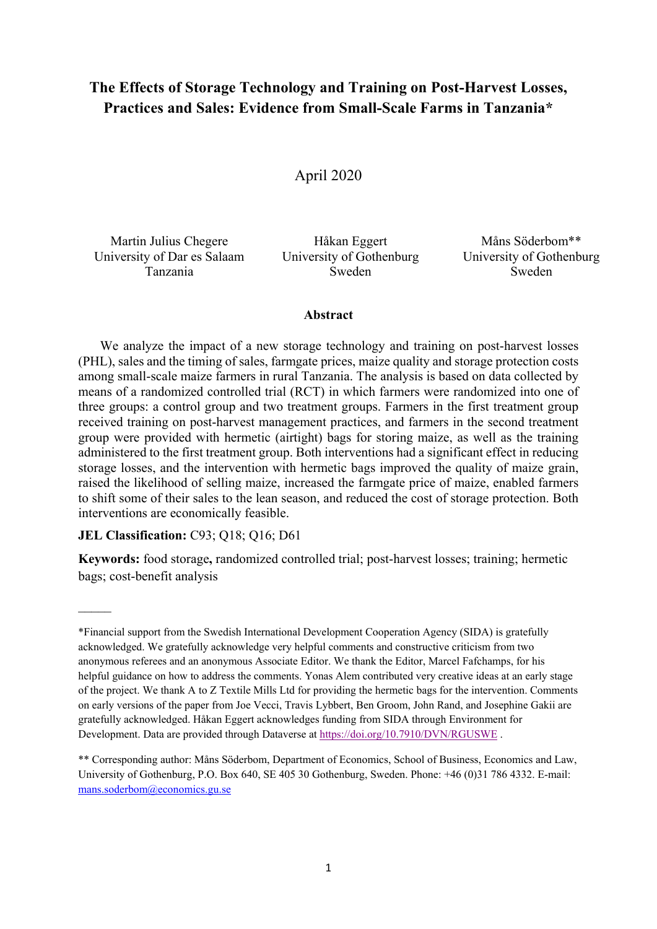# **The Effects of Storage Technology and Training on Post-Harvest Losses, Practices and Sales: Evidence from Small-Scale Farms in Tanzania\***

# April 2020

Martin Julius Chegere University of Dar es Salaam Tanzania

Håkan Eggert University of Gothenburg Sweden

Måns Söderbom\*\* University of Gothenburg Sweden

#### **Abstract**

We analyze the impact of a new storage technology and training on post-harvest losses (PHL), sales and the timing of sales, farmgate prices, maize quality and storage protection costs among small-scale maize farmers in rural Tanzania. The analysis is based on data collected by means of a randomized controlled trial (RCT) in which farmers were randomized into one of three groups: a control group and two treatment groups. Farmers in the first treatment group received training on post-harvest management practices, and farmers in the second treatment group were provided with hermetic (airtight) bags for storing maize, as well as the training administered to the first treatment group. Both interventions had a significant effect in reducing storage losses, and the intervention with hermetic bags improved the quality of maize grain, raised the likelihood of selling maize, increased the farmgate price of maize, enabled farmers to shift some of their sales to the lean season, and reduced the cost of storage protection. Both interventions are economically feasible.

### **JEL Classification:** C93; Q18; Q16; D61

**Keywords:** food storage**,** randomized controlled trial; post-harvest losses; training; hermetic bags; cost-benefit analysis

<sup>\*</sup>Financial support from the Swedish International Development Cooperation Agency (SIDA) is gratefully acknowledged. We gratefully acknowledge very helpful comments and constructive criticism from two anonymous referees and an anonymous Associate Editor. We thank the Editor, Marcel Fafchamps, for his helpful guidance on how to address the comments. Yonas Alem contributed very creative ideas at an early stage of the project. We thank A to Z Textile Mills Ltd for providing the hermetic bags for the intervention. Comments on early versions of the paper from Joe Vecci, Travis Lybbert, Ben Groom, John Rand, and Josephine Gakii are gratefully acknowledged. Håkan Eggert acknowledges funding from SIDA through Environment for Development. Data are provided through Dataverse a[t https://doi.org/10.7910/DVN/RGUSWE](https://doi.org/10.7910/DVN/RGUSWE) .

<sup>\*\*</sup> Corresponding author: Måns Söderbom, Department of Economics, School of Business, Economics and Law, University of Gothenburg, P.O. Box 640, SE 405 30 Gothenburg, Sweden. Phone: +46 (0)31 786 4332. E-mail: [mans.soderbom@economics.gu.se](mailto:mans.soderbom@economics.gu.se)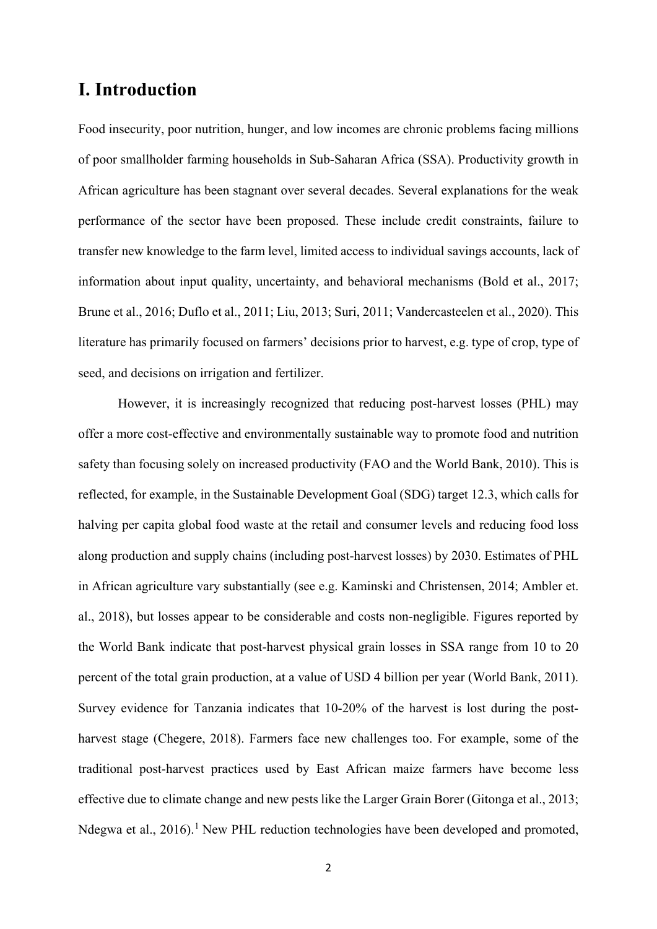# **I. Introduction**

Food insecurity, poor nutrition, hunger, and low incomes are chronic problems facing millions of poor smallholder farming households in Sub-Saharan Africa (SSA). Productivity growth in African agriculture has been stagnant over several decades. Several explanations for the weak performance of the sector have been proposed. These include credit constraints, failure to transfer new knowledge to the farm level, limited access to individual savings accounts, lack of information about input quality, uncertainty, and behavioral mechanisms (Bold et al., 2017; Brune et al., 2016; Duflo et al., 2011; Liu, 2013; Suri, 2011; Vandercasteelen et al., 2020). This literature has primarily focused on farmers' decisions prior to harvest, e.g. type of crop, type of seed, and decisions on irrigation and fertilizer.

However, it is increasingly recognized that reducing post-harvest losses (PHL) may offer a more cost-effective and environmentally sustainable way to promote food and nutrition safety than focusing solely on increased productivity (FAO and the World Bank, 2010). This is reflected, for example, in the Sustainable Development Goal (SDG) target 12.3, which calls for halving per capita global food waste at the retail and consumer levels and reducing food loss along production and supply chains (including post-harvest losses) by 2030. Estimates of PHL in African agriculture vary substantially (see e.g. Kaminski and Christensen, 2014; Ambler et. al., 2018), but losses appear to be considerable and costs non-negligible. Figures reported by the World Bank indicate that post-harvest physical grain losses in SSA range from 10 to 20 percent of the total grain production, at a value of USD 4 billion per year (World Bank, 2011). Survey evidence for Tanzania indicates that 10-20% of the harvest is lost during the postharvest stage (Chegere, 2018). Farmers face new challenges too. For example, some of the traditional post-harvest practices used by East African maize farmers have become less effective due to climate change and new pests like the Larger Grain Borer (Gitonga et al., 2013; Ndegwa et al.,  $2016$  $2016$  $2016$ .<sup>1</sup> New PHL reduction technologies have been developed and promoted,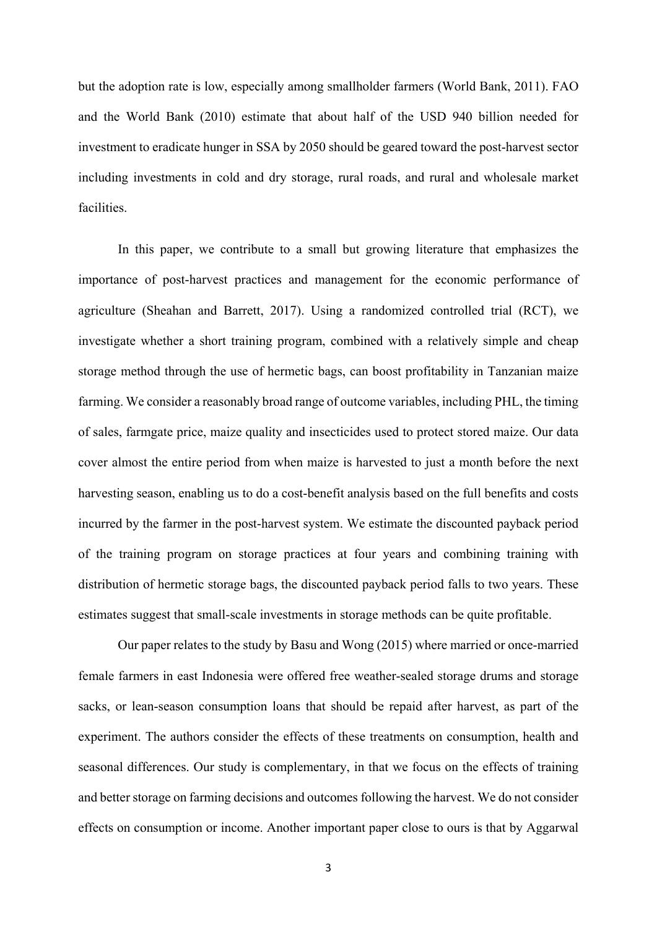but the adoption rate is low, especially among smallholder farmers (World Bank, 2011). FAO and the World Bank (2010) estimate that about half of the USD 940 billion needed for investment to eradicate hunger in SSA by 2050 should be geared toward the post-harvest sector including investments in cold and dry storage, rural roads, and rural and wholesale market facilities.

In this paper, we contribute to a small but growing literature that emphasizes the importance of post-harvest practices and management for the economic performance of agriculture (Sheahan and Barrett, 2017). Using a randomized controlled trial (RCT), we investigate whether a short training program, combined with a relatively simple and cheap storage method through the use of hermetic bags, can boost profitability in Tanzanian maize farming. We consider a reasonably broad range of outcome variables, including PHL, the timing of sales, farmgate price, maize quality and insecticides used to protect stored maize. Our data cover almost the entire period from when maize is harvested to just a month before the next harvesting season, enabling us to do a cost-benefit analysis based on the full benefits and costs incurred by the farmer in the post-harvest system. We estimate the discounted payback period of the training program on storage practices at four years and combining training with distribution of hermetic storage bags, the discounted payback period falls to two years. These estimates suggest that small-scale investments in storage methods can be quite profitable.

Our paper relates to the study by Basu and Wong (2015) where married or once-married female farmers in east Indonesia were offered free weather-sealed storage drums and storage sacks, or lean-season consumption loans that should be repaid after harvest, as part of the experiment. The authors consider the effects of these treatments on consumption, health and seasonal differences. Our study is complementary, in that we focus on the effects of training and better storage on farming decisions and outcomes following the harvest. We do not consider effects on consumption or income. Another important paper close to ours is that by Aggarwal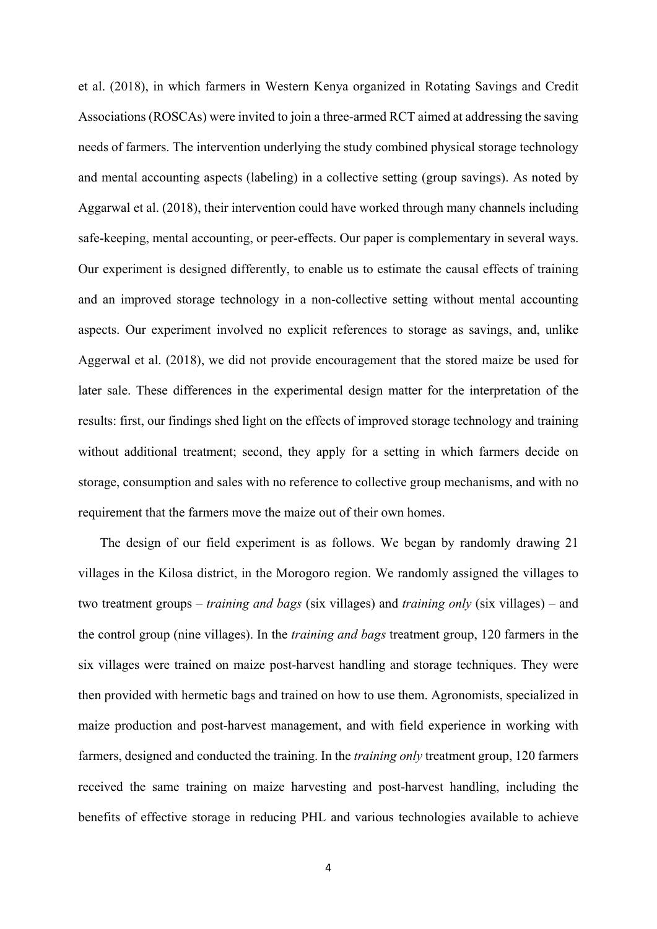et al. (2018), in which farmers in Western Kenya organized in Rotating Savings and Credit Associations (ROSCAs) were invited to join a three-armed RCT aimed at addressing the saving needs of farmers. The intervention underlying the study combined physical storage technology and mental accounting aspects (labeling) in a collective setting (group savings). As noted by Aggarwal et al. (2018), their intervention could have worked through many channels including safe-keeping, mental accounting, or peer-effects. Our paper is complementary in several ways. Our experiment is designed differently, to enable us to estimate the causal effects of training and an improved storage technology in a non-collective setting without mental accounting aspects. Our experiment involved no explicit references to storage as savings, and, unlike Aggerwal et al. (2018), we did not provide encouragement that the stored maize be used for later sale. These differences in the experimental design matter for the interpretation of the results: first, our findings shed light on the effects of improved storage technology and training without additional treatment; second, they apply for a setting in which farmers decide on storage, consumption and sales with no reference to collective group mechanisms, and with no requirement that the farmers move the maize out of their own homes.

The design of our field experiment is as follows. We began by randomly drawing 21 villages in the Kilosa district, in the Morogoro region. We randomly assigned the villages to two treatment groups – *training and bags* (six villages) and *training only* (six villages) – and the control group (nine villages). In the *training and bags* treatment group, 120 farmers in the six villages were trained on maize post-harvest handling and storage techniques. They were then provided with hermetic bags and trained on how to use them. Agronomists, specialized in maize production and post-harvest management, and with field experience in working with farmers, designed and conducted the training. In the *training only* treatment group, 120 farmers received the same training on maize harvesting and post-harvest handling, including the benefits of effective storage in reducing PHL and various technologies available to achieve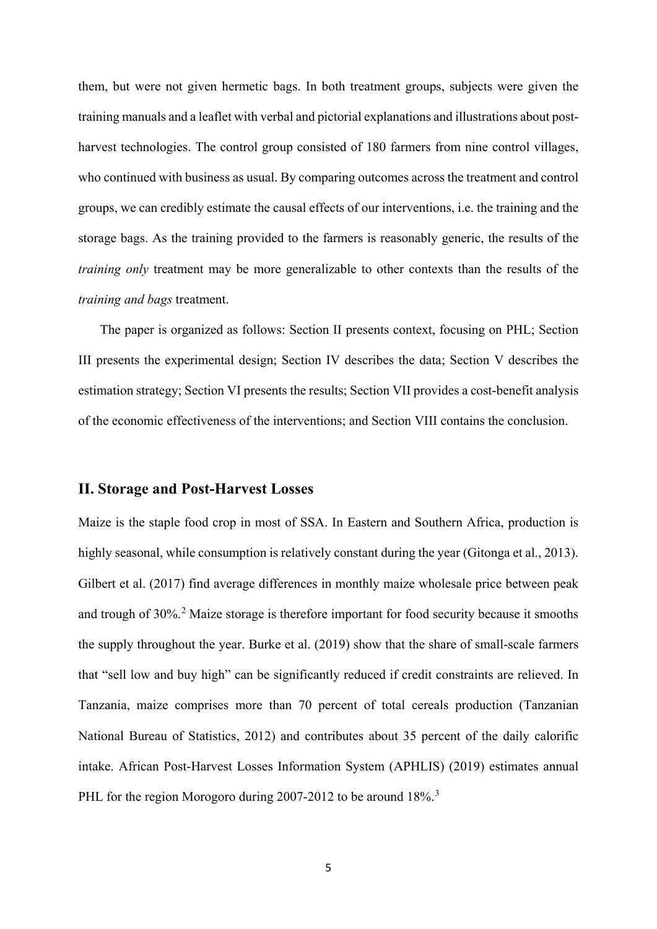them, but were not given hermetic bags. In both treatment groups, subjects were given the training manuals and a leaflet with verbal and pictorial explanations and illustrations about postharvest technologies. The control group consisted of 180 farmers from nine control villages, who continued with business as usual. By comparing outcomes across the treatment and control groups, we can credibly estimate the causal effects of our interventions, i.e. the training and the storage bags. As the training provided to the farmers is reasonably generic, the results of the *training only* treatment may be more generalizable to other contexts than the results of the *training and bags* treatment.

The paper is organized as follows: Section II presents context, focusing on PHL; Section III presents the experimental design; Section IV describes the data; Section V describes the estimation strategy; Section VI presents the results; Section VII provides a cost-benefit analysis of the economic effectiveness of the interventions; and Section VIII contains the conclusion.

# **II. Storage and Post-Harvest Losses**

Maize is the staple food crop in most of SSA. In Eastern and Southern Africa, production is highly seasonal, while consumption is relatively constant during the year (Gitonga et al., 2013). Gilbert et al. (2017) find average differences in monthly maize wholesale price between peak and trough of 30%.<sup>[2](#page-45-1)</sup> Maize storage is therefore important for food security because it smooths the supply throughout the year. Burke et al. (2019) show that the share of small-scale farmers that "sell low and buy high" can be significantly reduced if credit constraints are relieved. In Tanzania, maize comprises more than 70 percent of total cereals production (Tanzanian National Bureau of Statistics, 2012) and contributes about 35 percent of the daily calorific intake. African Post-Harvest Losses Information System (APHLIS) (2019) estimates annual PHL for the region Morogoro during 2007-2012 to be around 18%.<sup>[3](#page-45-2)</sup>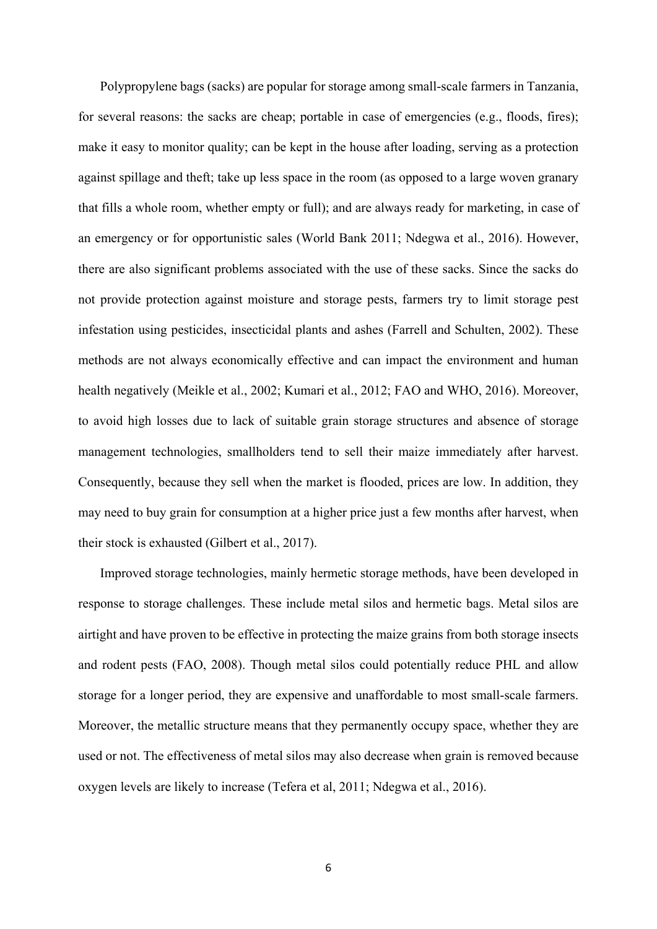Polypropylene bags (sacks) are popular for storage among small-scale farmers in Tanzania, for several reasons: the sacks are cheap; portable in case of emergencies (e.g., floods, fires); make it easy to monitor quality; can be kept in the house after loading, serving as a protection against spillage and theft; take up less space in the room (as opposed to a large woven granary that fills a whole room, whether empty or full); and are always ready for marketing, in case of an emergency or for opportunistic sales (World Bank 2011; Ndegwa et al., 2016). However, there are also significant problems associated with the use of these sacks. Since the sacks do not provide protection against moisture and storage pests, farmers try to limit storage pest infestation using pesticides, insecticidal plants and ashes (Farrell and Schulten, 2002). These methods are not always economically effective and can impact the environment and human health negatively (Meikle et al., 2002; Kumari et al., 2012; FAO and WHO, 2016). Moreover, to avoid high losses due to lack of suitable grain storage structures and absence of storage management technologies, smallholders tend to sell their maize immediately after harvest. Consequently, because they sell when the market is flooded, prices are low. In addition, they may need to buy grain for consumption at a higher price just a few months after harvest, when their stock is exhausted (Gilbert et al., 2017).

Improved storage technologies, mainly hermetic storage methods, have been developed in response to storage challenges. These include metal silos and hermetic bags. Metal silos are airtight and have proven to be effective in protecting the maize grains from both storage insects and rodent pests (FAO, 2008). Though metal silos could potentially reduce PHL and allow storage for a longer period, they are expensive and unaffordable to most small-scale farmers. Moreover, the metallic structure means that they permanently occupy space, whether they are used or not. The effectiveness of metal silos may also decrease when grain is removed because oxygen levels are likely to increase (Tefera et al, 2011; Ndegwa et al., 2016).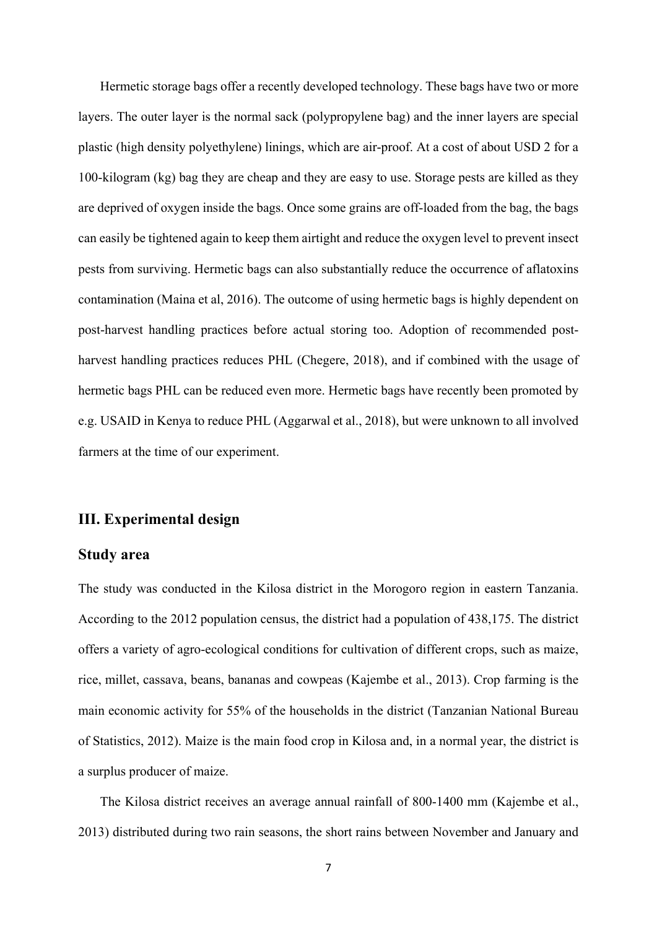Hermetic storage bags offer a recently developed technology. These bags have two or more layers. The outer layer is the normal sack (polypropylene bag) and the inner layers are special plastic (high density polyethylene) linings, which are air-proof. At a cost of about USD 2 for a 100-kilogram (kg) bag they are cheap and they are easy to use. Storage pests are killed as they are deprived of oxygen inside the bags. Once some grains are off-loaded from the bag, the bags can easily be tightened again to keep them airtight and reduce the oxygen level to prevent insect pests from surviving. Hermetic bags can also substantially reduce the occurrence of aflatoxins contamination (Maina et al, 2016). The outcome of using hermetic bags is highly dependent on post-harvest handling practices before actual storing too. Adoption of recommended postharvest handling practices reduces PHL (Chegere, 2018), and if combined with the usage of hermetic bags PHL can be reduced even more. Hermetic bags have recently been promoted by e.g. USAID in Kenya to reduce PHL (Aggarwal et al., 2018), but were unknown to all involved farmers at the time of our experiment.

## **III. Experimental design**

## **Study area**

The study was conducted in the Kilosa district in the Morogoro region in eastern Tanzania. According to the 2012 population census, the district had a population of 438,175. The district offers a variety of agro-ecological conditions for cultivation of different crops, such as maize, rice, millet, cassava, beans, bananas and cowpeas (Kajembe et al., 2013). Crop farming is the main economic activity for 55% of the households in the district (Tanzanian National Bureau of Statistics, 2012). Maize is the main food crop in Kilosa and, in a normal year, the district is a surplus producer of maize.

The Kilosa district receives an average annual rainfall of 800-1400 mm (Kajembe et al., 2013) distributed during two rain seasons, the short rains between November and January and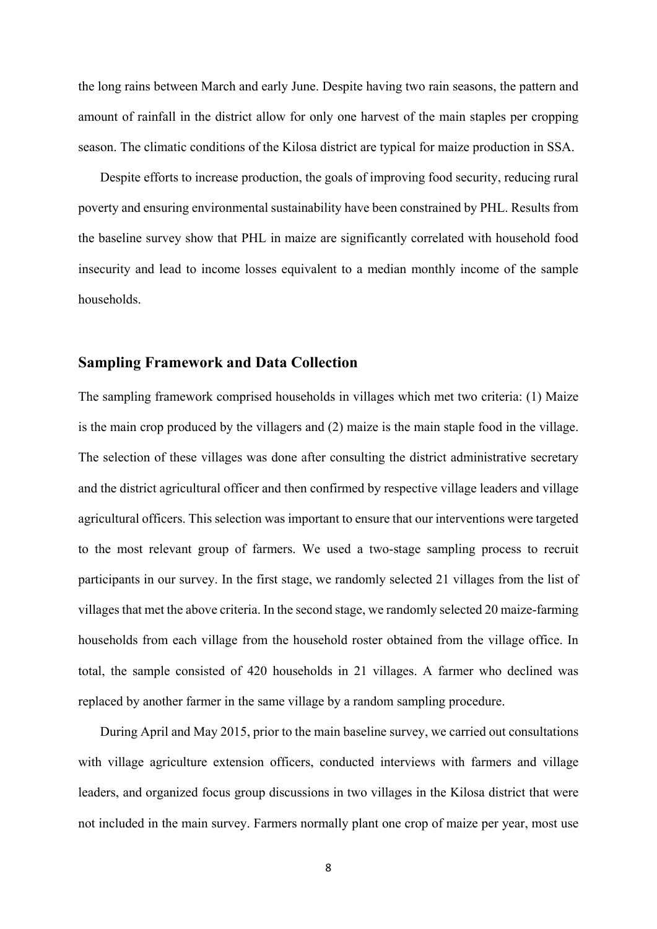the long rains between March and early June. Despite having two rain seasons, the pattern and amount of rainfall in the district allow for only one harvest of the main staples per cropping season. The climatic conditions of the Kilosa district are typical for maize production in SSA.

Despite efforts to increase production, the goals of improving food security, reducing rural poverty and ensuring environmental sustainability have been constrained by PHL. Results from the baseline survey show that PHL in maize are significantly correlated with household food insecurity and lead to income losses equivalent to a median monthly income of the sample households.

# **Sampling Framework and Data Collection**

The sampling framework comprised households in villages which met two criteria: (1) Maize is the main crop produced by the villagers and (2) maize is the main staple food in the village. The selection of these villages was done after consulting the district administrative secretary and the district agricultural officer and then confirmed by respective village leaders and village agricultural officers. This selection was important to ensure that our interventions were targeted to the most relevant group of farmers. We used a two-stage sampling process to recruit participants in our survey. In the first stage, we randomly selected 21 villages from the list of villages that met the above criteria. In the second stage, we randomly selected 20 maize-farming households from each village from the household roster obtained from the village office. In total, the sample consisted of 420 households in 21 villages. A farmer who declined was replaced by another farmer in the same village by a random sampling procedure.

During April and May 2015, prior to the main baseline survey, we carried out consultations with village agriculture extension officers, conducted interviews with farmers and village leaders, and organized focus group discussions in two villages in the Kilosa district that were not included in the main survey. Farmers normally plant one crop of maize per year, most use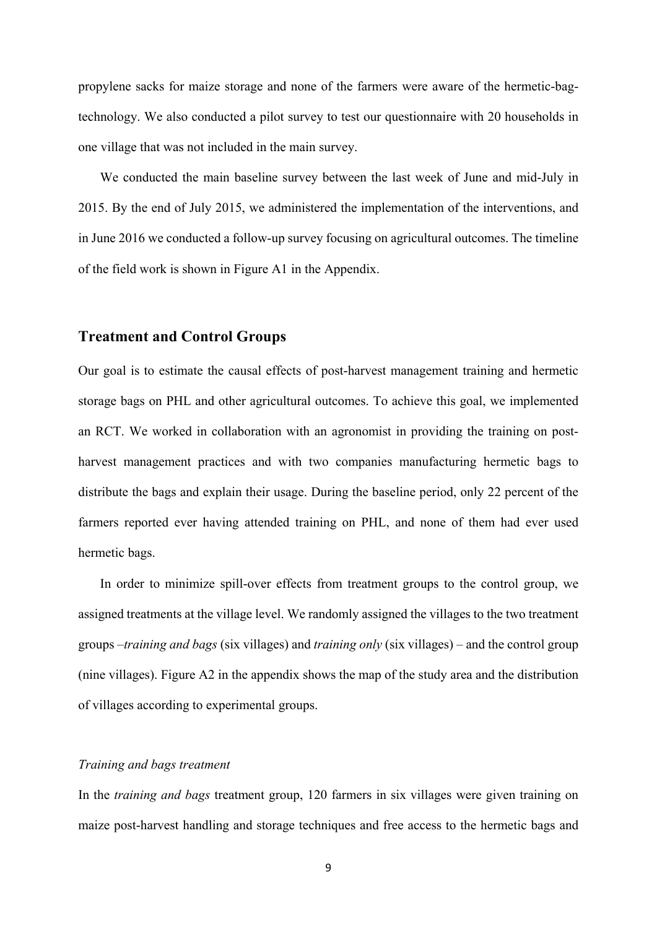propylene sacks for maize storage and none of the farmers were aware of the hermetic-bagtechnology. We also conducted a pilot survey to test our questionnaire with 20 households in one village that was not included in the main survey.

We conducted the main baseline survey between the last week of June and mid-July in 2015. By the end of July 2015, we administered the implementation of the interventions, and in June 2016 we conducted a follow-up survey focusing on agricultural outcomes. The timeline of the field work is shown in Figure A1 in the Appendix.

## **Treatment and Control Groups**

Our goal is to estimate the causal effects of post-harvest management training and hermetic storage bags on PHL and other agricultural outcomes. To achieve this goal, we implemented an RCT. We worked in collaboration with an agronomist in providing the training on postharvest management practices and with two companies manufacturing hermetic bags to distribute the bags and explain their usage. During the baseline period, only 22 percent of the farmers reported ever having attended training on PHL, and none of them had ever used hermetic bags.

In order to minimize spill-over effects from treatment groups to the control group, we assigned treatments at the village level. We randomly assigned the villages to the two treatment groups –*training and bags* (six villages) and *training only* (six villages) – and the control group (nine villages). Figure A2 in the appendix shows the map of the study area and the distribution of villages according to experimental groups.

#### *Training and bags treatment*

In the *training and bags* treatment group, 120 farmers in six villages were given training on maize post-harvest handling and storage techniques and free access to the hermetic bags and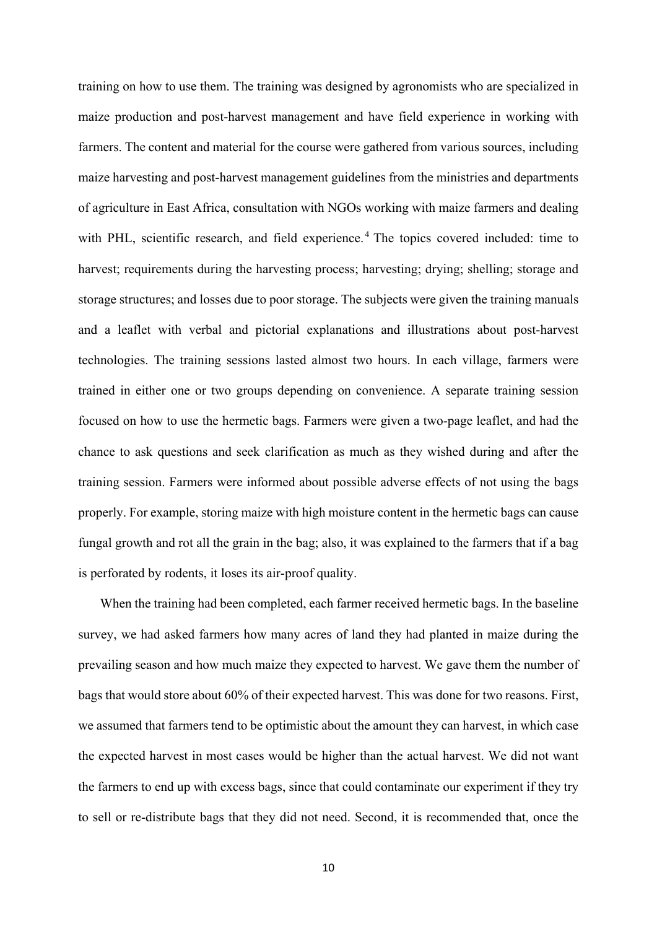training on how to use them. The training was designed by agronomists who are specialized in maize production and post-harvest management and have field experience in working with farmers. The content and material for the course were gathered from various sources, including maize harvesting and post-harvest management guidelines from the ministries and departments of agriculture in East Africa, consultation with NGOs working with maize farmers and dealing with PHL, scientific research, and field experience.<sup>[4](#page-45-3)</sup> The topics covered included: time to harvest; requirements during the harvesting process; harvesting; drying; shelling; storage and storage structures; and losses due to poor storage. The subjects were given the training manuals and a leaflet with verbal and pictorial explanations and illustrations about post-harvest technologies. The training sessions lasted almost two hours. In each village, farmers were trained in either one or two groups depending on convenience. A separate training session focused on how to use the hermetic bags. Farmers were given a two-page leaflet, and had the chance to ask questions and seek clarification as much as they wished during and after the training session. Farmers were informed about possible adverse effects of not using the bags properly. For example, storing maize with high moisture content in the hermetic bags can cause fungal growth and rot all the grain in the bag; also, it was explained to the farmers that if a bag is perforated by rodents, it loses its air-proof quality.

When the training had been completed, each farmer received hermetic bags. In the baseline survey, we had asked farmers how many acres of land they had planted in maize during the prevailing season and how much maize they expected to harvest. We gave them the number of bags that would store about 60% of their expected harvest. This was done for two reasons. First, we assumed that farmers tend to be optimistic about the amount they can harvest, in which case the expected harvest in most cases would be higher than the actual harvest. We did not want the farmers to end up with excess bags, since that could contaminate our experiment if they try to sell or re-distribute bags that they did not need. Second, it is recommended that, once the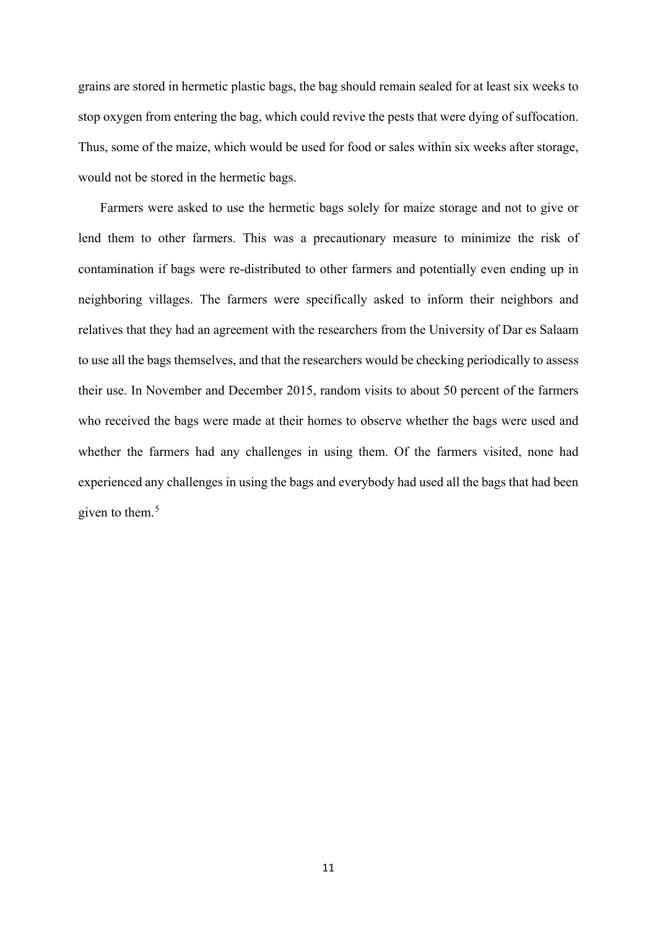grains are stored in hermetic plastic bags, the bag should remain sealed for at least six weeks to stop oxygen from entering the bag, which could revive the pests that were dying of suffocation. Thus, some of the maize, which would be used for food or sales within six weeks after storage, would not be stored in the hermetic bags.

Farmers were asked to use the hermetic bags solely for maize storage and not to give or lend them to other farmers. This was a precautionary measure to minimize the risk of contamination if bags were re-distributed to other farmers and potentially even ending up in neighboring villages. The farmers were specifically asked to inform their neighbors and relatives that they had an agreement with the researchers from the University of Dar es Salaam to use all the bags themselves, and that the researchers would be checking periodically to assess their use. In November and December 2015, random visits to about 50 percent of the farmers who received the bags were made at their homes to observe whether the bags were used and whether the farmers had any challenges in using them. Of the farmers visited, none had experienced any challenges in using the bags and everybody had used all the bags that had been given to them.<sup>[5](#page-45-4)</sup>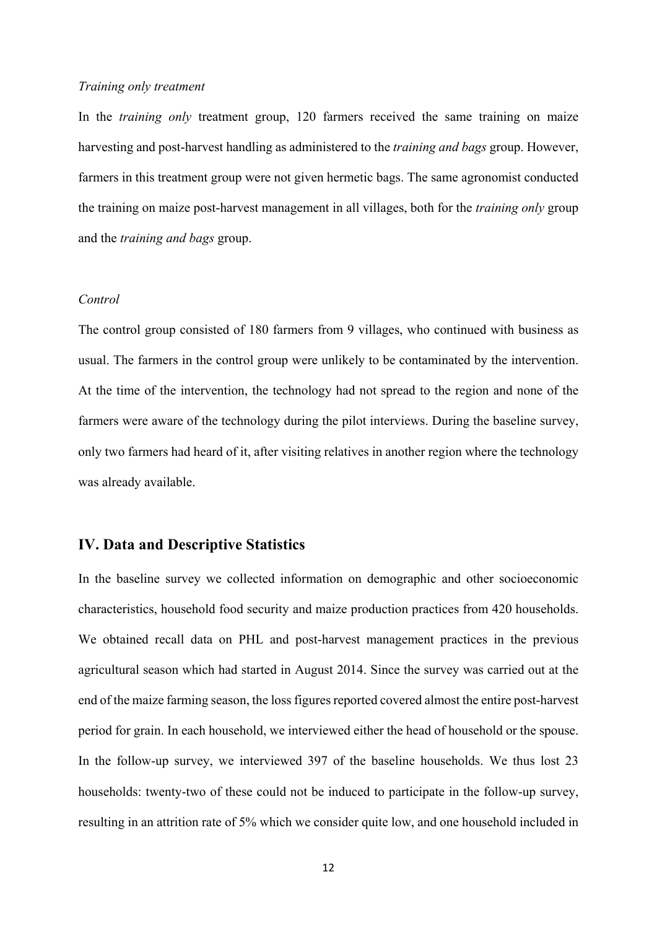#### *Training only treatment*

In the *training only* treatment group, 120 farmers received the same training on maize harvesting and post-harvest handling as administered to the *training and bags* group. However, farmers in this treatment group were not given hermetic bags. The same agronomist conducted the training on maize post-harvest management in all villages, both for the *training only* group and the *training and bags* group.

#### *Control*

The control group consisted of 180 farmers from 9 villages, who continued with business as usual. The farmers in the control group were unlikely to be contaminated by the intervention. At the time of the intervention, the technology had not spread to the region and none of the farmers were aware of the technology during the pilot interviews. During the baseline survey, only two farmers had heard of it, after visiting relatives in another region where the technology was already available.

# **IV. Data and Descriptive Statistics**

In the baseline survey we collected information on demographic and other socioeconomic characteristics, household food security and maize production practices from 420 households. We obtained recall data on PHL and post-harvest management practices in the previous agricultural season which had started in August 2014. Since the survey was carried out at the end of the maize farming season, the loss figures reported covered almost the entire post-harvest period for grain. In each household, we interviewed either the head of household or the spouse. In the follow-up survey, we interviewed 397 of the baseline households. We thus lost 23 households: twenty-two of these could not be induced to participate in the follow-up survey, resulting in an attrition rate of 5% which we consider quite low, and one household included in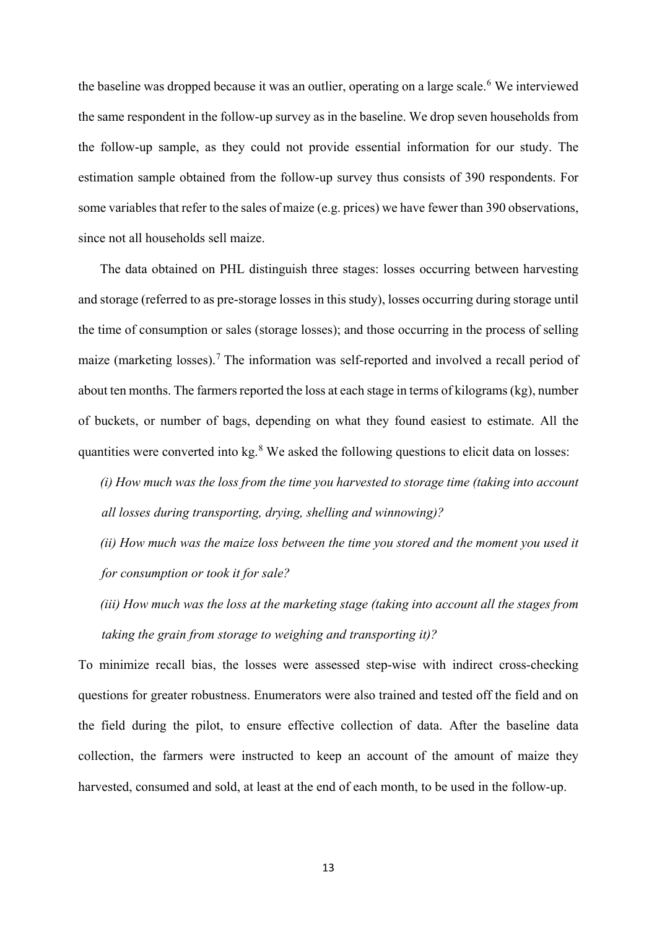the baseline was dropped because it was an outlier, operating on a large scale.<sup>[6](#page-46-0)</sup> We interviewed the same respondent in the follow-up survey as in the baseline. We drop seven households from the follow-up sample, as they could not provide essential information for our study. The estimation sample obtained from the follow-up survey thus consists of 390 respondents. For some variables that refer to the sales of maize (e.g. prices) we have fewer than 390 observations, since not all households sell maize.

The data obtained on PHL distinguish three stages: losses occurring between harvesting and storage (referred to as pre-storage losses in this study), losses occurring during storage until the time of consumption or sales (storage losses); and those occurring in the process of selling maize (marketing losses).<sup>[7](#page-46-1)</sup> The information was self-reported and involved a recall period of about ten months. The farmers reported the loss at each stage in terms of kilograms(kg), number of buckets, or number of bags, depending on what they found easiest to estimate. All the quantities were converted into kg.<sup>[8](#page-46-2)</sup> We asked the following questions to elicit data on losses:

*(i) How much was the loss from the time you harvested to storage time (taking into account all losses during transporting, drying, shelling and winnowing)?*

- *(ii) How much was the maize loss between the time you stored and the moment you used it for consumption or took it for sale?*
- *(iii) How much was the loss at the marketing stage (taking into account all the stages from taking the grain from storage to weighing and transporting it)?*

To minimize recall bias, the losses were assessed step-wise with indirect cross-checking questions for greater robustness. Enumerators were also trained and tested off the field and on the field during the pilot, to ensure effective collection of data. After the baseline data collection, the farmers were instructed to keep an account of the amount of maize they harvested, consumed and sold, at least at the end of each month, to be used in the follow-up.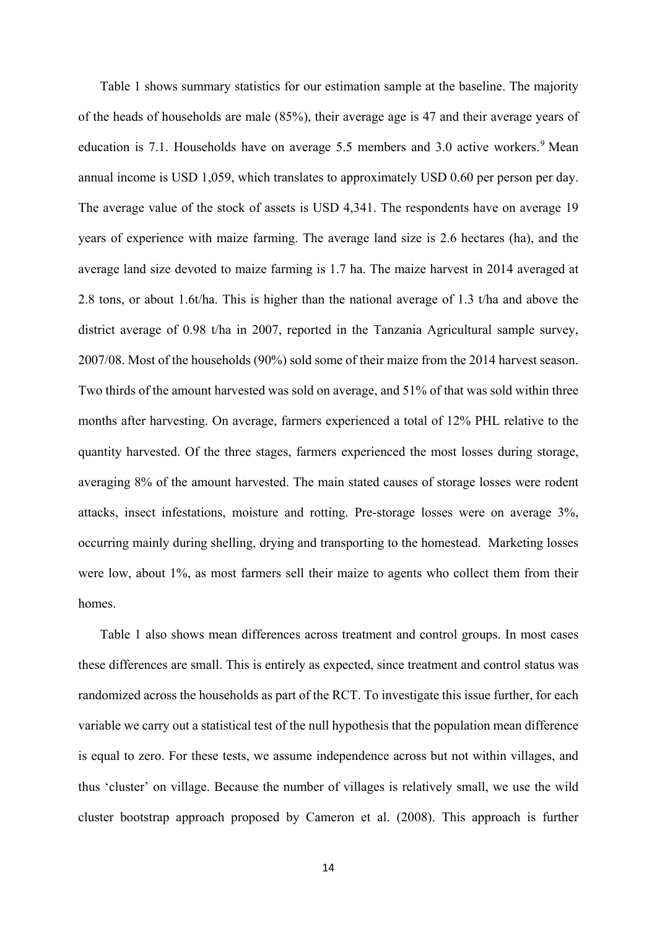Table 1 shows summary statistics for our estimation sample at the baseline. The majority of the heads of households are male (85%), their average age is 47 and their average years of education is 7.1. Households have on average 5.5 members and 3.0 active workers.<sup>[9](#page-46-3)</sup> Mean annual income is USD 1,059, which translates to approximately USD 0.60 per person per day. The average value of the stock of assets is USD 4,341. The respondents have on average 19 years of experience with maize farming. The average land size is 2.6 hectares (ha), and the average land size devoted to maize farming is 1.7 ha. The maize harvest in 2014 averaged at 2.8 tons, or about 1.6t/ha. This is higher than the national average of 1.3 t/ha and above the district average of 0.98 t/ha in 2007, reported in the Tanzania Agricultural sample survey, 2007/08. Most of the households (90%) sold some of their maize from the 2014 harvest season. Two thirds of the amount harvested was sold on average, and 51% of that was sold within three months after harvesting. On average, farmers experienced a total of 12% PHL relative to the quantity harvested. Of the three stages, farmers experienced the most losses during storage, averaging 8% of the amount harvested. The main stated causes of storage losses were rodent attacks, insect infestations, moisture and rotting. Pre-storage losses were on average 3%, occurring mainly during shelling, drying and transporting to the homestead. Marketing losses were low, about 1%, as most farmers sell their maize to agents who collect them from their homes.

Table 1 also shows mean differences across treatment and control groups. In most cases these differences are small. This is entirely as expected, since treatment and control status was randomized across the households as part of the RCT. To investigate this issue further, for each variable we carry out a statistical test of the null hypothesis that the population mean difference is equal to zero. For these tests, we assume independence across but not within villages, and thus 'cluster' on village. Because the number of villages is relatively small, we use the wild cluster bootstrap approach proposed by Cameron et al. (2008). This approach is further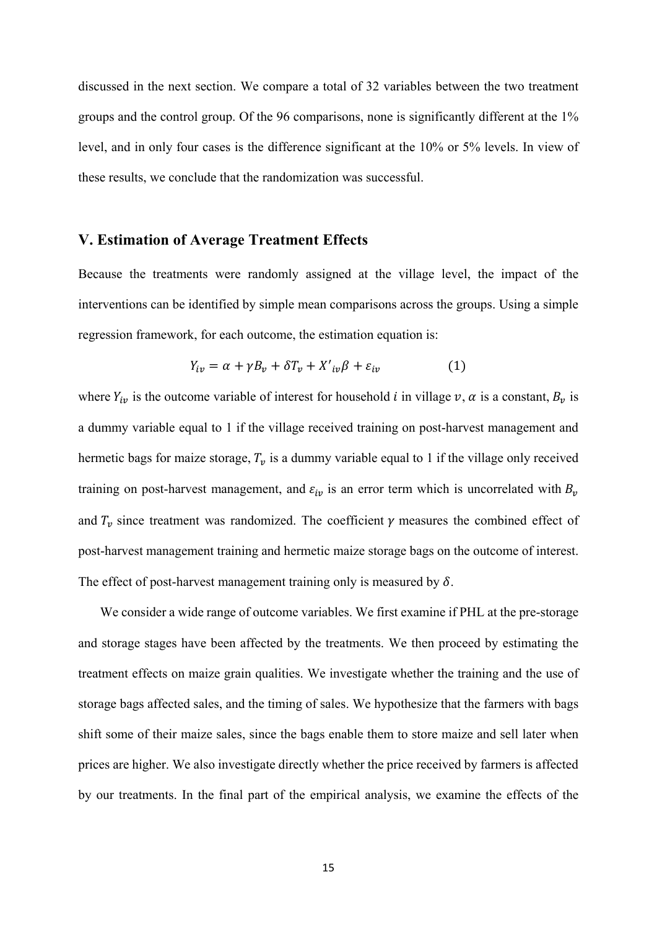discussed in the next section. We compare a total of 32 variables between the two treatment groups and the control group. Of the 96 comparisons, none is significantly different at the 1% level, and in only four cases is the difference significant at the 10% or 5% levels. In view of these results, we conclude that the randomization was successful.

# **V. Estimation of Average Treatment Effects**

Because the treatments were randomly assigned at the village level, the impact of the interventions can be identified by simple mean comparisons across the groups. Using a simple regression framework, for each outcome, the estimation equation is:

$$
Y_{iv} = \alpha + \gamma B_v + \delta T_v + X'_{iv}\beta + \varepsilon_{iv}
$$
 (1)

where  $Y_{iv}$  is the outcome variable of interest for household *i* in village v,  $\alpha$  is a constant,  $B_v$  is a dummy variable equal to 1 if the village received training on post-harvest management and hermetic bags for maize storage,  $T_v$  is a dummy variable equal to 1 if the village only received training on post-harvest management, and  $\varepsilon_{iv}$  is an error term which is uncorrelated with  $B_v$ and  $T_v$  since treatment was randomized. The coefficient  $\gamma$  measures the combined effect of post-harvest management training and hermetic maize storage bags on the outcome of interest. The effect of post-harvest management training only is measured by  $\delta$ .

We consider a wide range of outcome variables. We first examine if PHL at the pre-storage and storage stages have been affected by the treatments. We then proceed by estimating the treatment effects on maize grain qualities. We investigate whether the training and the use of storage bags affected sales, and the timing of sales. We hypothesize that the farmers with bags shift some of their maize sales, since the bags enable them to store maize and sell later when prices are higher. We also investigate directly whether the price received by farmers is affected by our treatments. In the final part of the empirical analysis, we examine the effects of the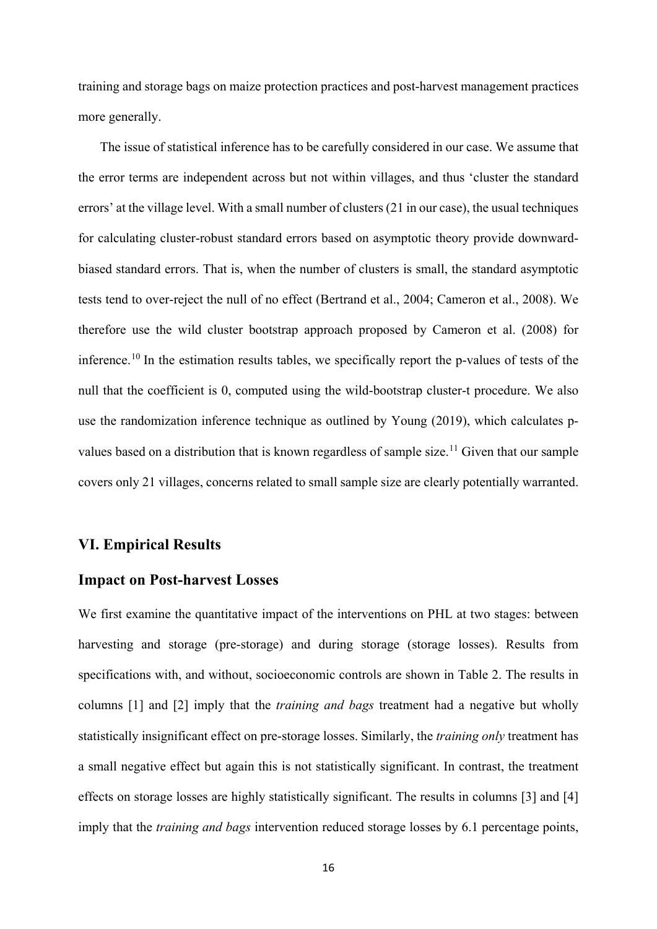training and storage bags on maize protection practices and post-harvest management practices more generally.

The issue of statistical inference has to be carefully considered in our case. We assume that the error terms are independent across but not within villages, and thus 'cluster the standard errors' at the village level. With a small number of clusters (21 in our case), the usual techniques for calculating cluster-robust standard errors based on asymptotic theory provide downwardbiased standard errors. That is, when the number of clusters is small, the standard asymptotic tests tend to over-reject the null of no effect (Bertrand et al., 2004; Cameron et al., 2008). We therefore use the wild cluster bootstrap approach proposed by Cameron et al. (2008) for inference.<sup>[10](#page-46-4)</sup> In the estimation results tables, we specifically report the p-values of tests of the null that the coefficient is 0, computed using the wild-bootstrap cluster-t procedure. We also use the randomization inference technique as outlined by Young (2019), which calculates p-values based on a distribution that is known regardless of sample size.<sup>[11](#page-46-5)</sup> Given that our sample covers only 21 villages, concerns related to small sample size are clearly potentially warranted.

### **VI. Empirical Results**

## **Impact on Post-harvest Losses**

We first examine the quantitative impact of the interventions on PHL at two stages: between harvesting and storage (pre-storage) and during storage (storage losses). Results from specifications with, and without, socioeconomic controls are shown in Table 2. The results in columns [1] and [2] imply that the *training and bags* treatment had a negative but wholly statistically insignificant effect on pre-storage losses. Similarly, the *training only* treatment has a small negative effect but again this is not statistically significant. In contrast, the treatment effects on storage losses are highly statistically significant. The results in columns [3] and [4] imply that the *training and bags* intervention reduced storage losses by 6.1 percentage points,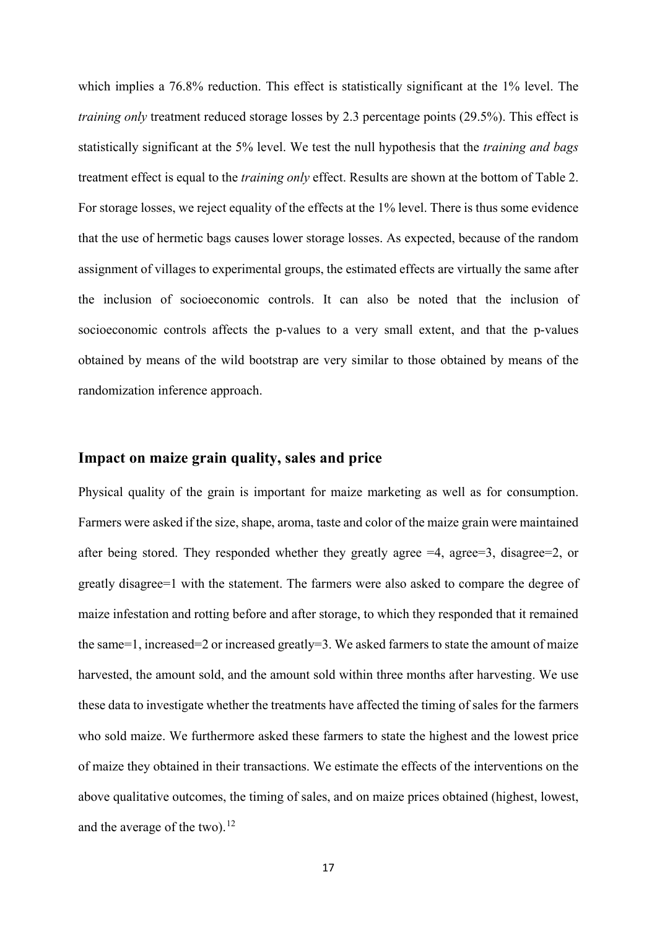which implies a 76.8% reduction. This effect is statistically significant at the 1% level. The *training only* treatment reduced storage losses by 2.3 percentage points (29.5%). This effect is statistically significant at the 5% level. We test the null hypothesis that the *training and bags* treatment effect is equal to the *training only* effect. Results are shown at the bottom of Table 2. For storage losses, we reject equality of the effects at the 1% level. There is thus some evidence that the use of hermetic bags causes lower storage losses. As expected, because of the random assignment of villages to experimental groups, the estimated effects are virtually the same after the inclusion of socioeconomic controls. It can also be noted that the inclusion of socioeconomic controls affects the p-values to a very small extent, and that the p-values obtained by means of the wild bootstrap are very similar to those obtained by means of the randomization inference approach.

# **Impact on maize grain quality, sales and price**

Physical quality of the grain is important for maize marketing as well as for consumption. Farmers were asked if the size, shape, aroma, taste and color of the maize grain were maintained after being stored. They responded whether they greatly agree  $=4$ , agree $=3$ , disagree $=2$ , or greatly disagree=1 with the statement. The farmers were also asked to compare the degree of maize infestation and rotting before and after storage, to which they responded that it remained the same=1, increased=2 or increased greatly=3. We asked farmers to state the amount of maize harvested, the amount sold, and the amount sold within three months after harvesting. We use these data to investigate whether the treatments have affected the timing of sales for the farmers who sold maize. We furthermore asked these farmers to state the highest and the lowest price of maize they obtained in their transactions. We estimate the effects of the interventions on the above qualitative outcomes, the timing of sales, and on maize prices obtained (highest, lowest, and the average of the two).<sup>[12](#page-46-6)</sup>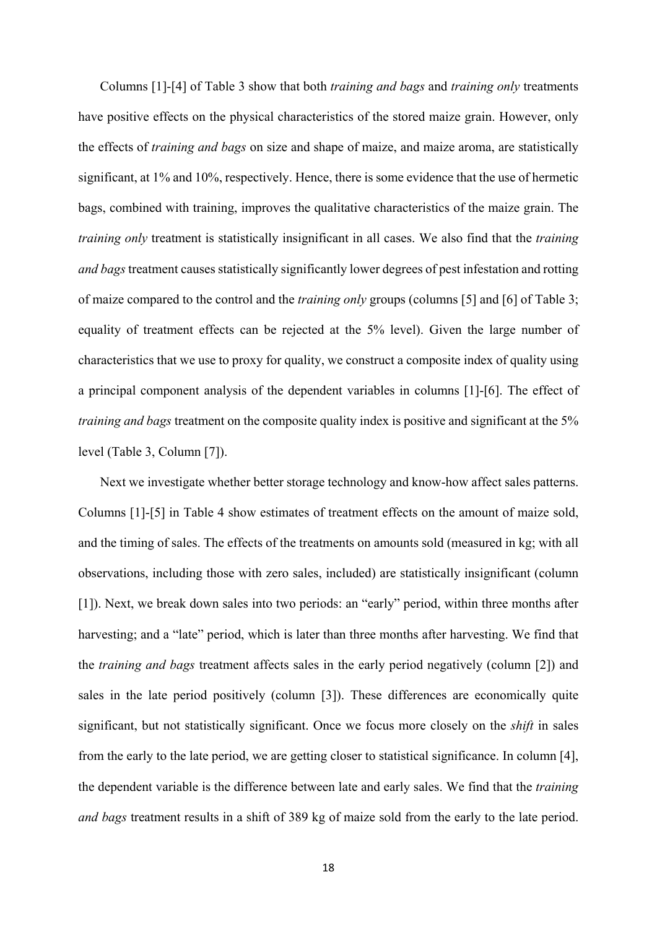Columns [1]-[4] of Table 3 show that both *training and bags* and *training only* treatments have positive effects on the physical characteristics of the stored maize grain. However, only the effects of *training and bags* on size and shape of maize, and maize aroma, are statistically significant, at 1% and 10%, respectively. Hence, there is some evidence that the use of hermetic bags, combined with training, improves the qualitative characteristics of the maize grain. The *training only* treatment is statistically insignificant in all cases. We also find that the *training and bags* treatment causes statistically significantly lower degrees of pest infestation and rotting of maize compared to the control and the *training only* groups (columns [5] and [6] of Table 3; equality of treatment effects can be rejected at the 5% level). Given the large number of characteristics that we use to proxy for quality, we construct a composite index of quality using a principal component analysis of the dependent variables in columns [1]-[6]. The effect of *training and bags* treatment on the composite quality index is positive and significant at the 5% level (Table 3, Column [7]).

Next we investigate whether better storage technology and know-how affect sales patterns. Columns [1]-[5] in Table 4 show estimates of treatment effects on the amount of maize sold, and the timing of sales. The effects of the treatments on amounts sold (measured in kg; with all observations, including those with zero sales, included) are statistically insignificant (column [1]). Next, we break down sales into two periods: an "early" period, within three months after harvesting; and a "late" period, which is later than three months after harvesting. We find that the *training and bags* treatment affects sales in the early period negatively (column [2]) and sales in the late period positively (column [3]). These differences are economically quite significant, but not statistically significant. Once we focus more closely on the *shift* in sales from the early to the late period, we are getting closer to statistical significance. In column [4], the dependent variable is the difference between late and early sales. We find that the *training and bags* treatment results in a shift of 389 kg of maize sold from the early to the late period.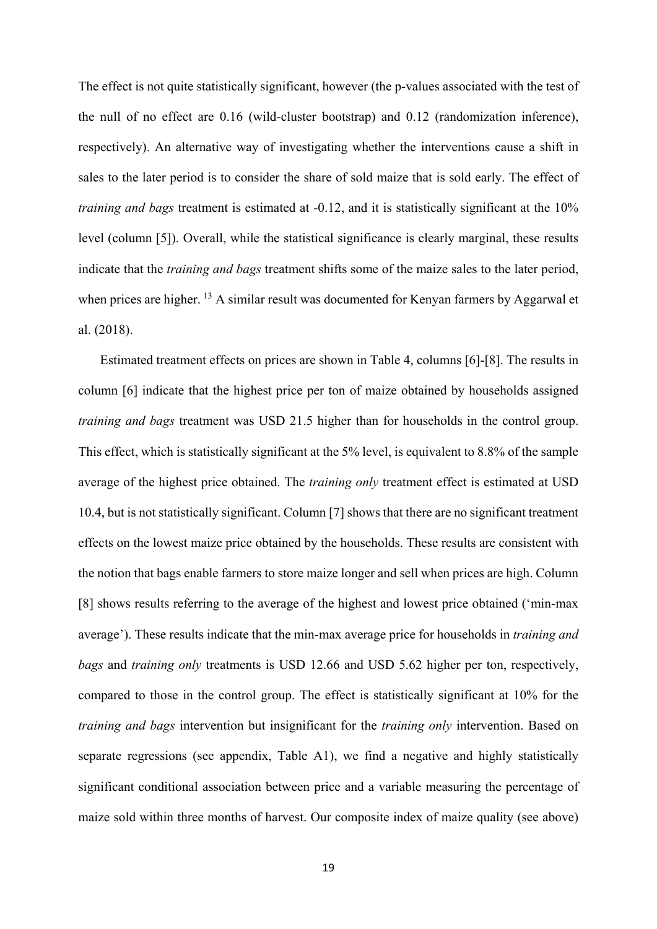The effect is not quite statistically significant, however (the p-values associated with the test of the null of no effect are 0.16 (wild-cluster bootstrap) and 0.12 (randomization inference), respectively). An alternative way of investigating whether the interventions cause a shift in sales to the later period is to consider the share of sold maize that is sold early. The effect of *training and bags* treatment is estimated at -0.12, and it is statistically significant at the 10% level (column [5]). Overall, while the statistical significance is clearly marginal, these results indicate that the *training and bags* treatment shifts some of the maize sales to the later period, when prices are higher. <sup>[13](#page-46-7)</sup> A similar result was documented for Kenyan farmers by Aggarwal et al. (2018).

Estimated treatment effects on prices are shown in Table 4, columns [6]-[8]. The results in column [6] indicate that the highest price per ton of maize obtained by households assigned *training and bags* treatment was USD 21.5 higher than for households in the control group. This effect, which is statistically significant at the 5% level, is equivalent to 8.8% of the sample average of the highest price obtained. The *training only* treatment effect is estimated at USD 10.4, but is not statistically significant. Column [7] shows that there are no significant treatment effects on the lowest maize price obtained by the households. These results are consistent with the notion that bags enable farmers to store maize longer and sell when prices are high. Column [8] shows results referring to the average of the highest and lowest price obtained ('min-max average'). These results indicate that the min-max average price for households in *training and bags* and *training only* treatments is USD 12.66 and USD 5.62 higher per ton, respectively, compared to those in the control group. The effect is statistically significant at 10% for the *training and bags* intervention but insignificant for the *training only* intervention. Based on separate regressions (see appendix, Table A1), we find a negative and highly statistically significant conditional association between price and a variable measuring the percentage of maize sold within three months of harvest. Our composite index of maize quality (see above)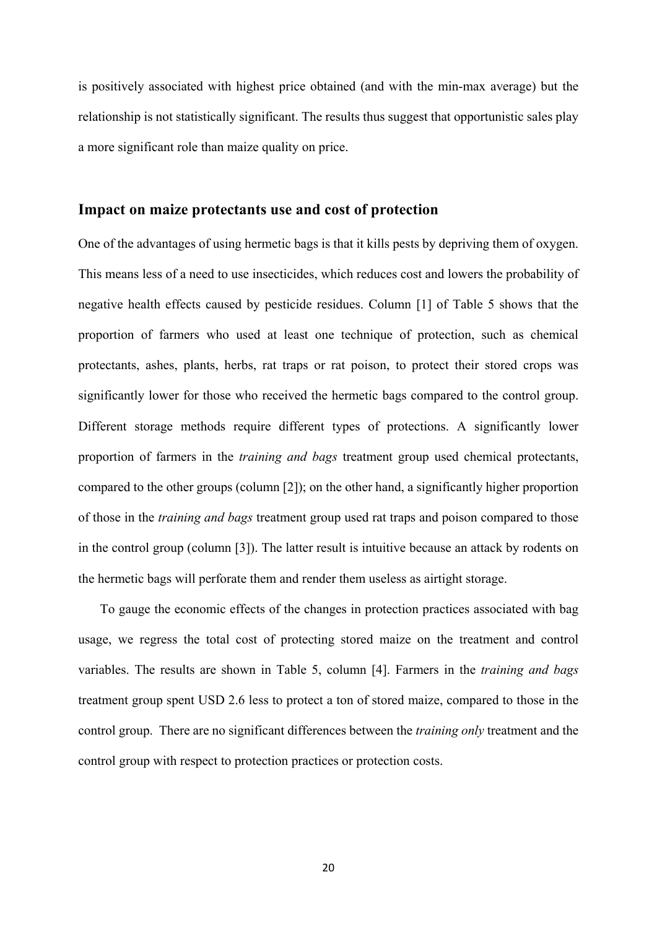is positively associated with highest price obtained (and with the min-max average) but the relationship is not statistically significant. The results thus suggest that opportunistic sales play a more significant role than maize quality on price.

## **Impact on maize protectants use and cost of protection**

One of the advantages of using hermetic bags is that it kills pests by depriving them of oxygen. This means less of a need to use insecticides, which reduces cost and lowers the probability of negative health effects caused by pesticide residues. Column [1] of Table 5 shows that the proportion of farmers who used at least one technique of protection, such as chemical protectants, ashes, plants, herbs, rat traps or rat poison, to protect their stored crops was significantly lower for those who received the hermetic bags compared to the control group. Different storage methods require different types of protections. A significantly lower proportion of farmers in the *training and bags* treatment group used chemical protectants, compared to the other groups (column [2]); on the other hand, a significantly higher proportion of those in the *training and bags* treatment group used rat traps and poison compared to those in the control group (column [3]). The latter result is intuitive because an attack by rodents on the hermetic bags will perforate them and render them useless as airtight storage.

To gauge the economic effects of the changes in protection practices associated with bag usage, we regress the total cost of protecting stored maize on the treatment and control variables. The results are shown in Table 5, column [4]. Farmers in the *training and bags* treatment group spent USD 2.6 less to protect a ton of stored maize, compared to those in the control group. There are no significant differences between the *training only* treatment and the control group with respect to protection practices or protection costs.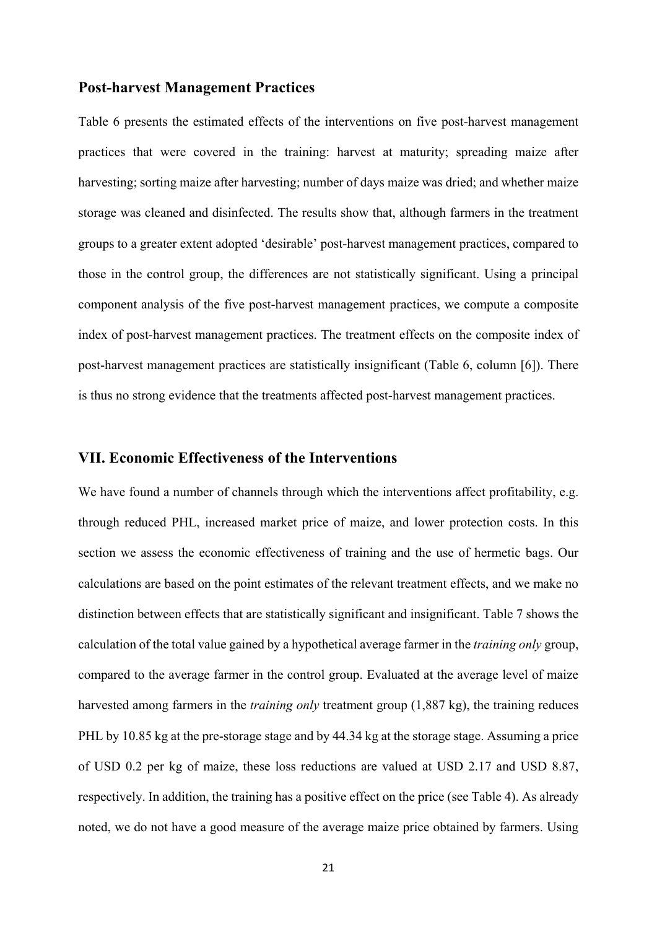# **Post-harvest Management Practices**

Table 6 presents the estimated effects of the interventions on five post-harvest management practices that were covered in the training: harvest at maturity; spreading maize after harvesting; sorting maize after harvesting; number of days maize was dried; and whether maize storage was cleaned and disinfected. The results show that, although farmers in the treatment groups to a greater extent adopted 'desirable' post-harvest management practices, compared to those in the control group, the differences are not statistically significant. Using a principal component analysis of the five post-harvest management practices, we compute a composite index of post-harvest management practices. The treatment effects on the composite index of post-harvest management practices are statistically insignificant (Table 6, column [6]). There is thus no strong evidence that the treatments affected post-harvest management practices.

# **VII. Economic Effectiveness of the Interventions**

We have found a number of channels through which the interventions affect profitability, e.g. through reduced PHL, increased market price of maize, and lower protection costs. In this section we assess the economic effectiveness of training and the use of hermetic bags. Our calculations are based on the point estimates of the relevant treatment effects, and we make no distinction between effects that are statistically significant and insignificant. Table 7 shows the calculation of the total value gained by a hypothetical average farmer in the *training only* group, compared to the average farmer in the control group. Evaluated at the average level of maize harvested among farmers in the *training only* treatment group (1,887 kg), the training reduces PHL by 10.85 kg at the pre-storage stage and by 44.34 kg at the storage stage. Assuming a price of USD 0.2 per kg of maize, these loss reductions are valued at USD 2.17 and USD 8.87, respectively. In addition, the training has a positive effect on the price (see Table 4). As already noted, we do not have a good measure of the average maize price obtained by farmers. Using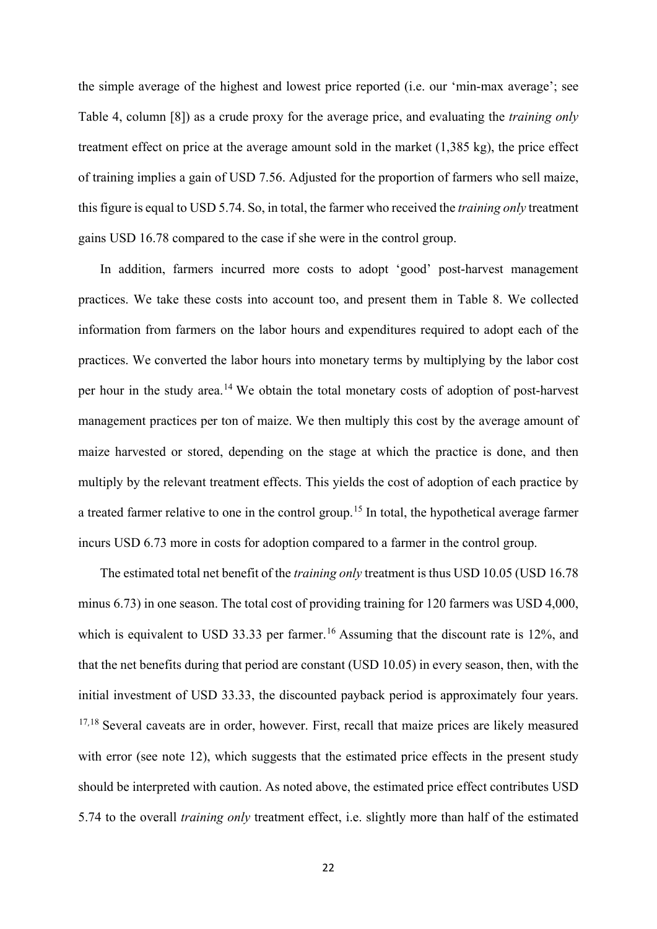the simple average of the highest and lowest price reported (i.e. our 'min-max average'; see Table 4, column [8]) as a crude proxy for the average price, and evaluating the *training only* treatment effect on price at the average amount sold in the market (1,385 kg), the price effect of training implies a gain of USD 7.56. Adjusted for the proportion of farmers who sell maize, this figure is equal to USD 5.74. So, in total, the farmer who received the *training only* treatment gains USD 16.78 compared to the case if she were in the control group.

In addition, farmers incurred more costs to adopt 'good' post-harvest management practices. We take these costs into account too, and present them in Table 8. We collected information from farmers on the labor hours and expenditures required to adopt each of the practices. We converted the labor hours into monetary terms by multiplying by the labor cost per hour in the study area.[14](#page-46-8) We obtain the total monetary costs of adoption of post-harvest management practices per ton of maize. We then multiply this cost by the average amount of maize harvested or stored, depending on the stage at which the practice is done, and then multiply by the relevant treatment effects. This yields the cost of adoption of each practice by a treated farmer relative to one in the control group.<sup>[15](#page-46-0)</sup> In total, the hypothetical average farmer incurs USD 6.73 more in costs for adoption compared to a farmer in the control group.

The estimated total net benefit of the *training only* treatment is thus USD 10.05 (USD 16.78 minus 6.73) in one season. The total cost of providing training for 120 farmers was USD 4,000, which is equivalent to USD 33.33 per farmer.<sup>[16](#page-46-1)</sup> Assuming that the discount rate is 12%, and that the net benefits during that period are constant (USD 10.05) in every season, then, with the initial investment of USD 33.33, the discounted payback period is approximately four years. <sup>[17](#page-46-2),[18](#page-46-9)</sup> Several caveats are in order, however. First, recall that maize prices are likely measured with error (see note 12), which suggests that the estimated price effects in the present study should be interpreted with caution. As noted above, the estimated price effect contributes USD 5.74 to the overall *training only* treatment effect, i.e. slightly more than half of the estimated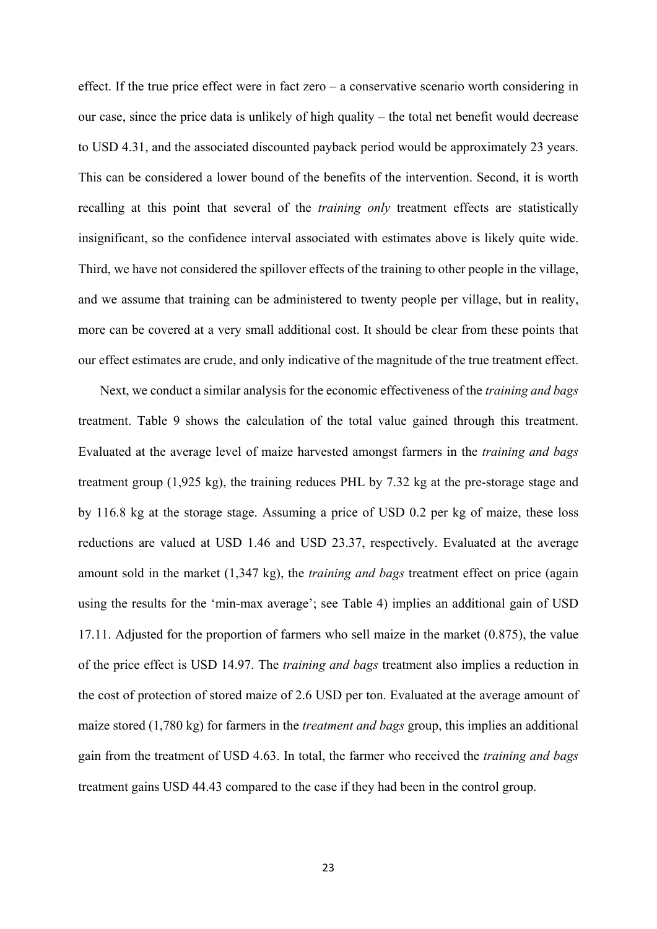effect. If the true price effect were in fact zero – a conservative scenario worth considering in our case, since the price data is unlikely of high quality – the total net benefit would decrease to USD 4.31, and the associated discounted payback period would be approximately 23 years. This can be considered a lower bound of the benefits of the intervention. Second, it is worth recalling at this point that several of the *training only* treatment effects are statistically insignificant, so the confidence interval associated with estimates above is likely quite wide. Third, we have not considered the spillover effects of the training to other people in the village, and we assume that training can be administered to twenty people per village, but in reality, more can be covered at a very small additional cost. It should be clear from these points that our effect estimates are crude, and only indicative of the magnitude of the true treatment effect.

Next, we conduct a similar analysis for the economic effectiveness of the *training and bags* treatment. Table 9 shows the calculation of the total value gained through this treatment. Evaluated at the average level of maize harvested amongst farmers in the *training and bags* treatment group (1,925 kg), the training reduces PHL by 7.32 kg at the pre-storage stage and by 116.8 kg at the storage stage. Assuming a price of USD 0.2 per kg of maize, these loss reductions are valued at USD 1.46 and USD 23.37, respectively. Evaluated at the average amount sold in the market (1,347 kg), the *training and bags* treatment effect on price (again using the results for the 'min-max average'; see Table 4) implies an additional gain of USD 17.11. Adjusted for the proportion of farmers who sell maize in the market (0.875), the value of the price effect is USD 14.97. The *training and bags* treatment also implies a reduction in the cost of protection of stored maize of 2.6 USD per ton. Evaluated at the average amount of maize stored (1,780 kg) for farmers in the *treatment and bags* group, this implies an additional gain from the treatment of USD 4.63. In total, the farmer who received the *training and bags* treatment gains USD 44.43 compared to the case if they had been in the control group.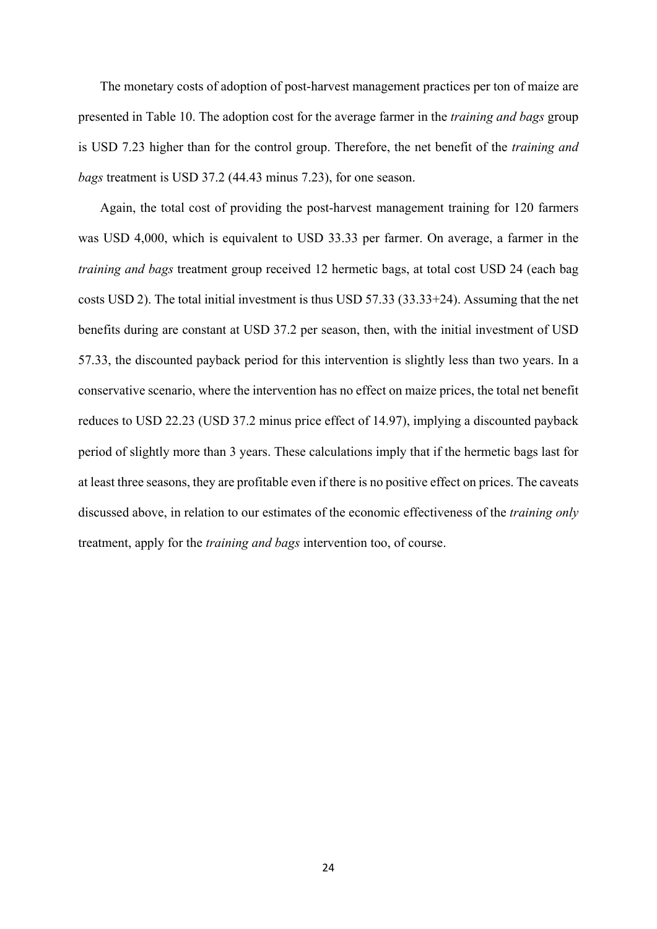The monetary costs of adoption of post-harvest management practices per ton of maize are presented in Table 10. The adoption cost for the average farmer in the *training and bags* group is USD 7.23 higher than for the control group. Therefore, the net benefit of the *training and bags* treatment is USD 37.2 (44.43 minus 7.23), for one season.

Again, the total cost of providing the post-harvest management training for 120 farmers was USD 4,000, which is equivalent to USD 33.33 per farmer. On average, a farmer in the *training and bags* treatment group received 12 hermetic bags, at total cost USD 24 (each bag costs USD 2). The total initial investment is thus USD 57.33 (33.33+24). Assuming that the net benefits during are constant at USD 37.2 per season, then, with the initial investment of USD 57.33, the discounted payback period for this intervention is slightly less than two years. In a conservative scenario, where the intervention has no effect on maize prices, the total net benefit reduces to USD 22.23 (USD 37.2 minus price effect of 14.97), implying a discounted payback period of slightly more than 3 years. These calculations imply that if the hermetic bags last for at least three seasons, they are profitable even if there is no positive effect on prices. The caveats discussed above, in relation to our estimates of the economic effectiveness of the *training only*  treatment, apply for the *training and bags* intervention too, of course.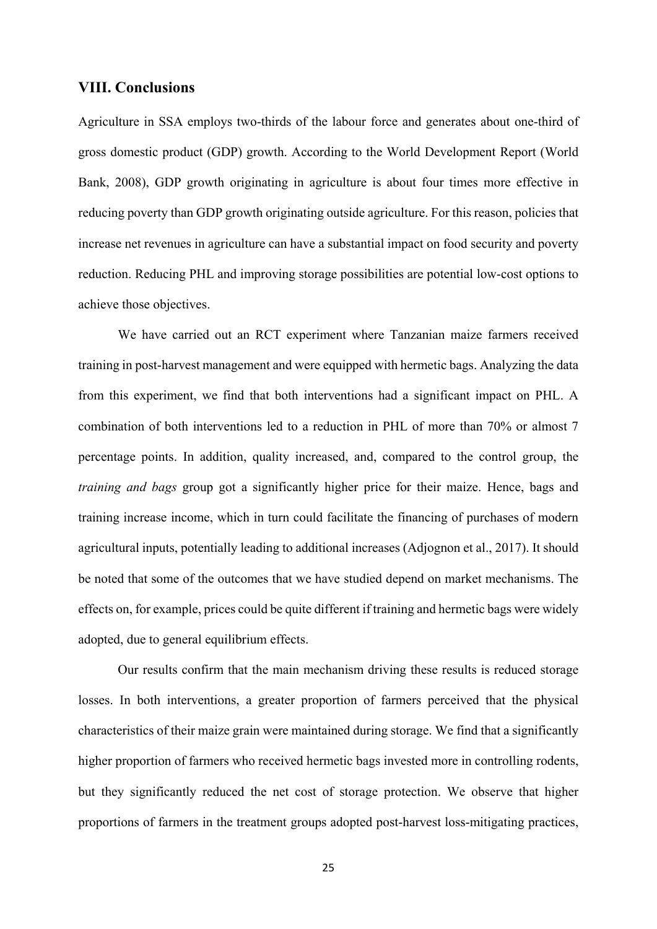# **VIII. Conclusions**

Agriculture in SSA employs two-thirds of the labour force and generates about one-third of gross domestic product (GDP) growth. According to the World Development Report (World Bank, 2008), GDP growth originating in agriculture is about four times more effective in reducing poverty than GDP growth originating outside agriculture. For this reason, policies that increase net revenues in agriculture can have a substantial impact on food security and poverty reduction. Reducing PHL and improving storage possibilities are potential low-cost options to achieve those objectives.

We have carried out an RCT experiment where Tanzanian maize farmers received training in post-harvest management and were equipped with hermetic bags. Analyzing the data from this experiment, we find that both interventions had a significant impact on PHL. A combination of both interventions led to a reduction in PHL of more than 70% or almost 7 percentage points. In addition, quality increased, and, compared to the control group, the *training and bags* group got a significantly higher price for their maize. Hence, bags and training increase income, which in turn could facilitate the financing of purchases of modern agricultural inputs, potentially leading to additional increases (Adjognon et al., 2017). It should be noted that some of the outcomes that we have studied depend on market mechanisms. The effects on, for example, prices could be quite different if training and hermetic bags were widely adopted, due to general equilibrium effects.

Our results confirm that the main mechanism driving these results is reduced storage losses. In both interventions, a greater proportion of farmers perceived that the physical characteristics of their maize grain were maintained during storage. We find that a significantly higher proportion of farmers who received hermetic bags invested more in controlling rodents, but they significantly reduced the net cost of storage protection. We observe that higher proportions of farmers in the treatment groups adopted post-harvest loss-mitigating practices,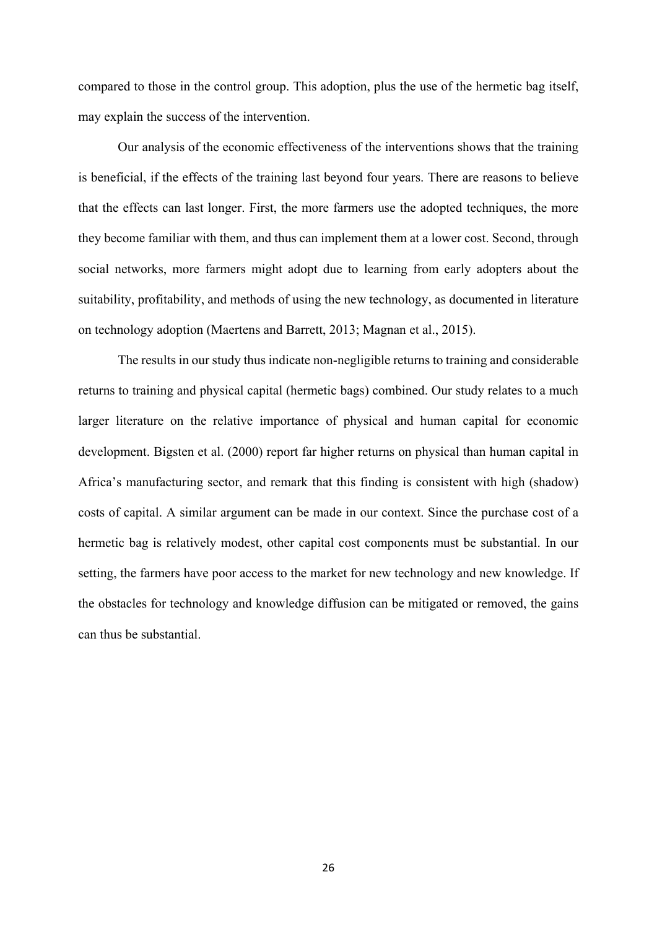compared to those in the control group. This adoption, plus the use of the hermetic bag itself, may explain the success of the intervention.

Our analysis of the economic effectiveness of the interventions shows that the training is beneficial, if the effects of the training last beyond four years. There are reasons to believe that the effects can last longer. First, the more farmers use the adopted techniques, the more they become familiar with them, and thus can implement them at a lower cost. Second, through social networks, more farmers might adopt due to learning from early adopters about the suitability, profitability, and methods of using the new technology, as documented in literature on technology adoption (Maertens and Barrett, 2013; Magnan et al., 2015).

The results in our study thus indicate non-negligible returns to training and considerable returns to training and physical capital (hermetic bags) combined. Our study relates to a much larger literature on the relative importance of physical and human capital for economic development. Bigsten et al. (2000) report far higher returns on physical than human capital in Africa's manufacturing sector, and remark that this finding is consistent with high (shadow) costs of capital. A similar argument can be made in our context. Since the purchase cost of a hermetic bag is relatively modest, other capital cost components must be substantial. In our setting, the farmers have poor access to the market for new technology and new knowledge. If the obstacles for technology and knowledge diffusion can be mitigated or removed, the gains can thus be substantial.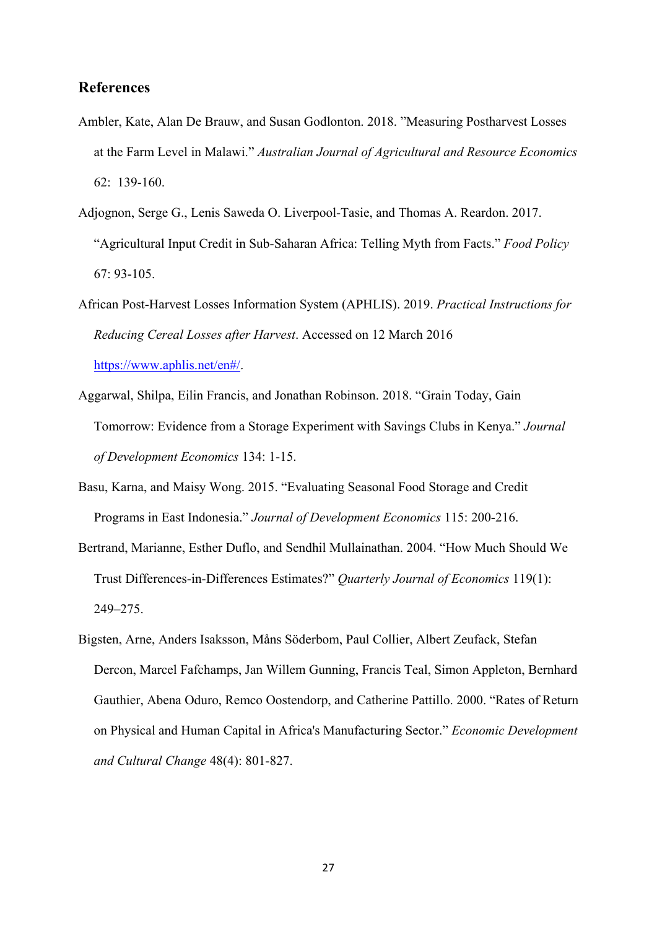# **References**

- Ambler, Kate, Alan De Brauw, and Susan Godlonton. 2018. "Measuring Postharvest Losses at the Farm Level in Malawi." *Australian Journal of Agricultural and Resource Economics* 62: 139-160.
- Adjognon, Serge G., Lenis Saweda O. Liverpool-Tasie, and Thomas A. Reardon. 2017. "Agricultural Input Credit in Sub-Saharan Africa: Telling Myth from Facts." *Food Policy* 67: 93-105.
- African Post-Harvest Losses Information System (APHLIS). 2019. *Practical Instructions for Reducing Cereal Losses after Harvest*. Accessed on 12 March 2016 [https://www.aphlis.net/en#/.](https://www.aphlis.net/en#/)
- Aggarwal, Shilpa, Eilin Francis, and Jonathan Robinson. 2018. "Grain Today, Gain Tomorrow: Evidence from a Storage Experiment with Savings Clubs in Kenya." *Journal of Development Economics* 134: 1-15.
- Basu, Karna, and Maisy Wong. 2015. "Evaluating Seasonal Food Storage and Credit Programs in East Indonesia." *Journal of Development Economics* 115: 200-216.
- Bertrand, Marianne, Esther Duflo, and Sendhil Mullainathan. 2004. "How Much Should We Trust Differences-in-Differences Estimates?" *Quarterly Journal of Economics* 119(1): 249–275.
- Bigsten, Arne, Anders Isaksson, Måns Söderbom, Paul Collier, Albert Zeufack, Stefan Dercon, Marcel Fafchamps, Jan Willem Gunning, Francis Teal, Simon Appleton, Bernhard Gauthier, Abena Oduro, Remco Oostendorp, and Catherine Pattillo. 2000. "Rates of Return on Physical and Human Capital in Africa's Manufacturing Sector." *Economic Development and Cultural Change* 48(4): 801-827.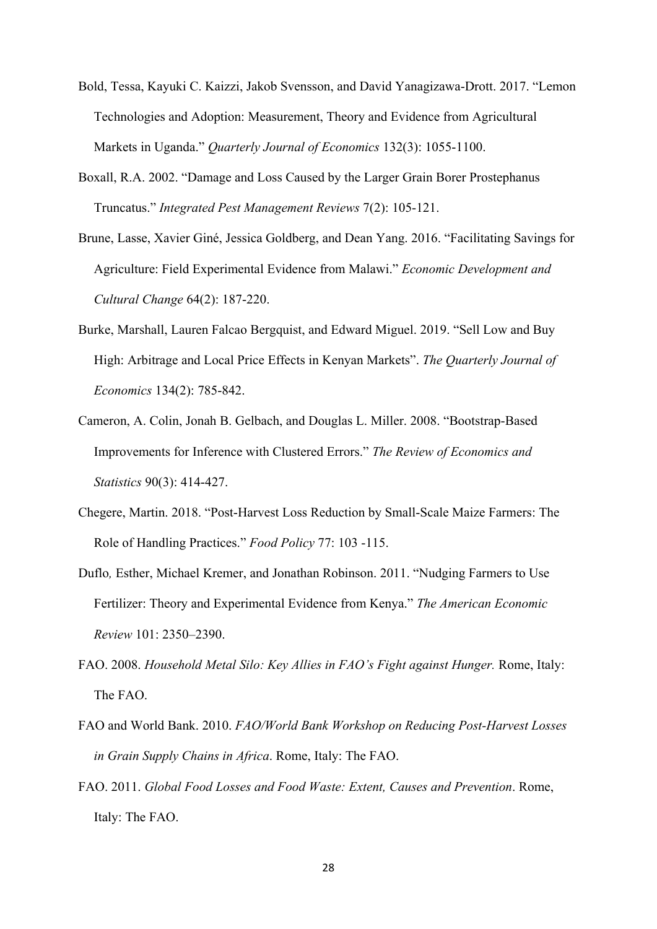- Bold, Tessa, Kayuki C. Kaizzi, Jakob Svensson, and David Yanagizawa-Drott. 2017. "Lemon Technologies and Adoption: Measurement, Theory and Evidence from Agricultural Markets in Uganda." *Quarterly Journal of Economics* 132(3): 1055-1100.
- Boxall, R.A. 2002. "Damage and Loss Caused by the Larger Grain Borer Prostephanus Truncatus." *Integrated Pest Management Reviews* 7(2): 105-121.
- Brune, Lasse, Xavier Giné, Jessica Goldberg, and Dean Yang. 2016. "Facilitating Savings for Agriculture: Field Experimental Evidence from Malawi." *Economic Development and Cultural Change* 64(2): 187-220.
- Burke, Marshall, Lauren Falcao Bergquist, and Edward Miguel. 2019. "Sell Low and Buy High: Arbitrage and Local Price Effects in Kenyan Markets". *The Quarterly Journal of Economics* 134(2): 785-842.
- Cameron, A. Colin, Jonah B. Gelbach, and Douglas L. Miller. 2008. "Bootstrap-Based Improvements for Inference with Clustered Errors." *The Review of Economics and Statistics* 90(3): 414-427.
- Chegere, Martin. 2018. "Post-Harvest Loss Reduction by Small-Scale Maize Farmers: The Role of Handling Practices." *Food Policy* 77: 103 -115.
- Duflo*,* Esther, Michael Kremer, and Jonathan Robinson. 2011. "Nudging Farmers to Use Fertilizer: Theory and Experimental Evidence from Kenya." *The American Economic Review* 101: 2350–2390.
- FAO. 2008. *Household Metal Silo: Key Allies in FAO's Fight against Hunger.* Rome, Italy: The FAO.
- FAO and World Bank. 2010. *FAO/World Bank Workshop on Reducing Post-Harvest Losses in Grain Supply Chains in Africa*. Rome, Italy: The FAO.
- FAO. 2011. *Global Food Losses and Food Waste: Extent, Causes and Prevention*. Rome, Italy: The FAO.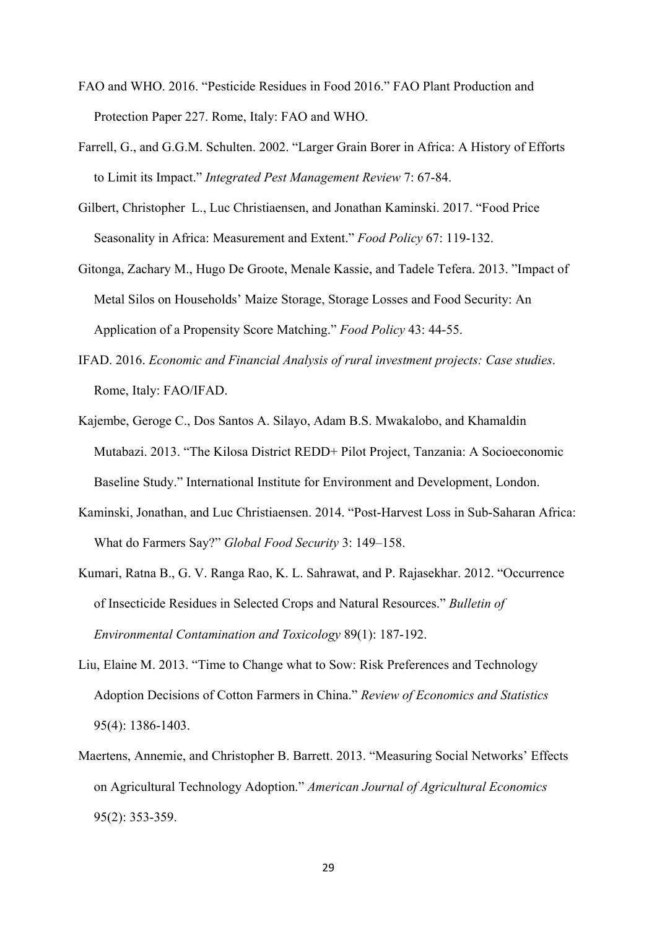- FAO and WHO. 2016. "Pesticide Residues in Food 2016." FAO Plant Production and Protection Paper 227. Rome, Italy: FAO and WHO.
- Farrell, G., and G.G.M. Schulten. 2002. "Larger Grain Borer in Africa: A History of Efforts to Limit its Impact." *Integrated Pest Management Review* 7: 67-84.
- Gilbert, Christopher L., Luc Christiaensen, and Jonathan Kaminski. 2017. "Food Price Seasonality in Africa: Measurement and Extent." *Food Policy* 67: 119-132.
- Gitonga, Zachary M., Hugo De Groote, Menale Kassie, and Tadele Tefera. 2013. "Impact of Metal Silos on Households' Maize Storage, Storage Losses and Food Security: An Application of a Propensity Score Matching." *Food Policy* 43: 44-55.
- IFAD. 2016. *Economic and Financial Analysis of rural investment projects: Case studies*. Rome, Italy: FAO/IFAD.
- Kajembe, Geroge C., Dos Santos A. Silayo, Adam B.S. Mwakalobo, and Khamaldin Mutabazi. 2013. "The Kilosa District REDD+ Pilot Project, Tanzania: A Socioeconomic Baseline Study." International Institute for Environment and Development, London.
- Kaminski, Jonathan, and Luc Christiaensen. 2014. "Post-Harvest Loss in Sub-Saharan Africa: What do Farmers Say?" *Global Food Security* 3: 149–158.
- Kumari, Ratna B., G. V. Ranga Rao, K. L. Sahrawat, and P. Rajasekhar. 2012. "Occurrence of Insecticide Residues in Selected Crops and Natural Resources." *Bulletin of Environmental Contamination and Toxicology* 89(1): 187-192.
- Liu, Elaine M. 2013. "Time to Change what to Sow: Risk Preferences and Technology Adoption Decisions of Cotton Farmers in China." *Review of Economics and Statistics* 95(4): 1386-1403.
- Maertens, Annemie, and Christopher B. Barrett. 2013. "Measuring Social Networks' Effects on Agricultural Technology Adoption." *American Journal of Agricultural Economics* 95(2): 353-359.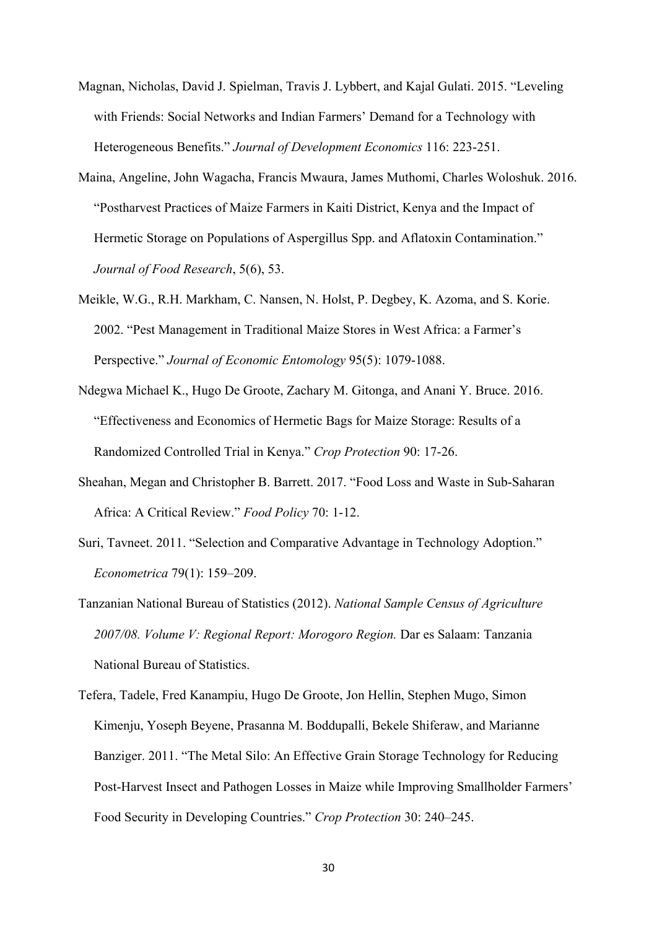- Magnan, Nicholas, David J. Spielman, Travis J. Lybbert, and Kajal Gulati. 2015. "Leveling with Friends: Social Networks and Indian Farmers' Demand for a Technology with Heterogeneous Benefits." *Journal of Development Economics* 116: 223-251.
- Maina, Angeline, John Wagacha, Francis Mwaura, James Muthomi, Charles Woloshuk. 2016. "Postharvest Practices of Maize Farmers in Kaiti District, Kenya and the Impact of Hermetic Storage on Populations of Aspergillus Spp. and Aflatoxin Contamination." *Journal of Food Research*, 5(6), 53.
- Meikle, W.G., R.H. Markham, C. Nansen, N. Holst, P. Degbey, K. Azoma, and S. Korie. 2002. "Pest Management in Traditional Maize Stores in West Africa: a Farmer's Perspective." *Journal of Economic Entomology* 95(5): 1079-1088.
- Ndegwa Michael K., Hugo De Groote, Zachary M. Gitonga, and Anani Y. Bruce. 2016. "Effectiveness and Economics of Hermetic Bags for Maize Storage: Results of a Randomized Controlled Trial in Kenya." *Crop Protection* 90: 17-26.
- Sheahan, Megan and Christopher B. Barrett. 2017. "Food Loss and Waste in Sub-Saharan Africa: A Critical Review." *Food Policy* 70: 1-12.
- Suri, Tavneet. 2011. "Selection and Comparative Advantage in Technology Adoption." *Econometrica* 79(1): 159–209.
- Tanzanian National Bureau of Statistics (2012). *National Sample Census of Agriculture 2007/08. Volume V: Regional Report: Morogoro Region.* Dar es Salaam: Tanzania National Bureau of Statistics.
- Tefera, Tadele, Fred Kanampiu, Hugo De Groote, Jon Hellin, Stephen Mugo, Simon Kimenju, Yoseph Beyene, Prasanna M. Boddupalli, Bekele Shiferaw, and Marianne Banziger. 2011. "The Metal Silo: An Effective Grain Storage Technology for Reducing Post-Harvest Insect and Pathogen Losses in Maize while Improving Smallholder Farmers' Food Security in Developing Countries." *Crop Protection* 30: 240–245.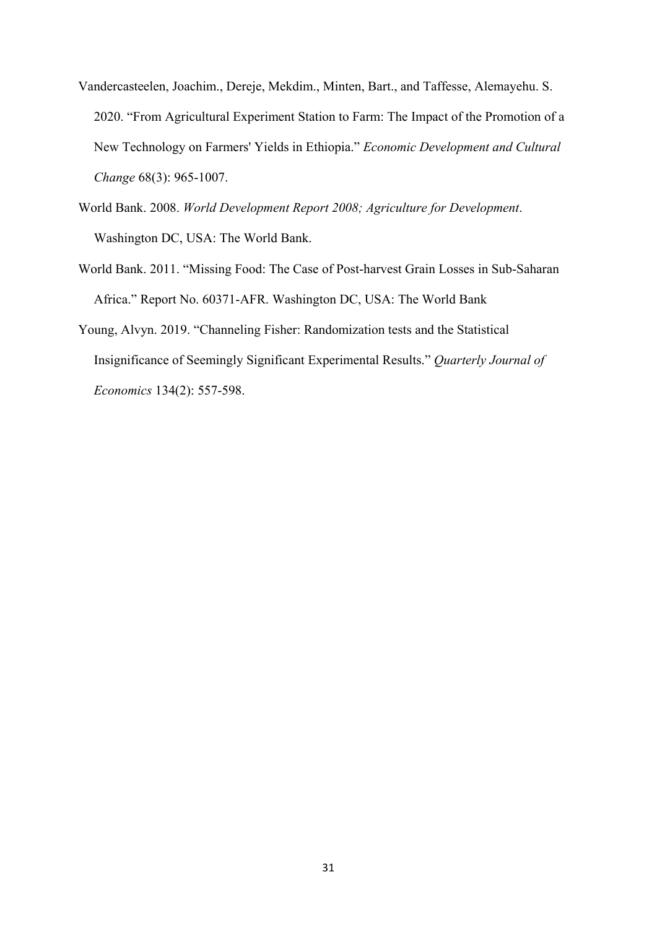- Vandercasteelen, Joachim., Dereje, Mekdim., Minten, Bart., and Taffesse, Alemayehu. S. 2020. "From Agricultural Experiment Station to Farm: The Impact of the Promotion of a New Technology on Farmers' Yields in Ethiopia." *Economic Development and Cultural Change* 68(3): 965-1007.
- World Bank. 2008. *World Development Report 2008; Agriculture for Development*. Washington DC, USA: The World Bank.
- World Bank. 2011. "Missing Food: The Case of Post-harvest Grain Losses in Sub-Saharan Africa." Report No. 60371-AFR. Washington DC, USA: The World Bank
- Young, Alvyn. 2019. "Channeling Fisher: Randomization tests and the Statistical Insignificance of Seemingly Significant Experimental Results." *Quarterly Journal of Economics* 134(2): 557-598.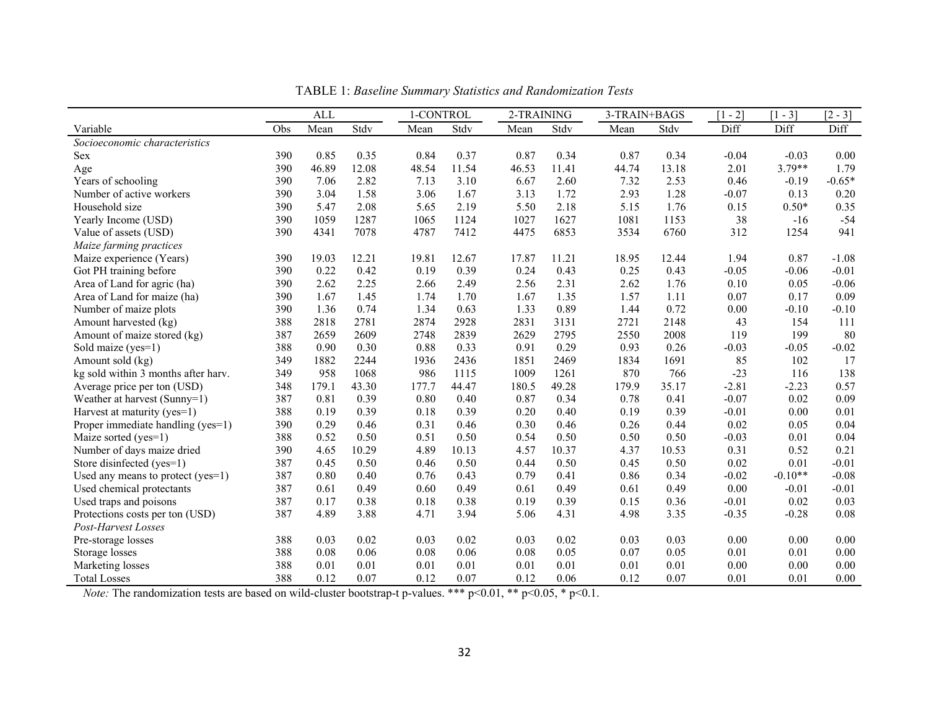|                                     |     | <b>ALL</b> |       | 1-CONTROL |       | 2-TRAINING |       | 3-TRAIN+BAGS |       | $[1 - 2]$ | $[1 - 3]$ | $[2 - 3]$ |
|-------------------------------------|-----|------------|-------|-----------|-------|------------|-------|--------------|-------|-----------|-----------|-----------|
| Variable                            | Obs | Mean       | Stdv  | Mean      | Stdv  | Mean       | Stdv  | Mean         | Stdv  | Diff      | Diff      | Diff      |
| Socioeconomic characteristics       |     |            |       |           |       |            |       |              |       |           |           |           |
| <b>Sex</b>                          | 390 | 0.85       | 0.35  | 0.84      | 0.37  | 0.87       | 0.34  | 0.87         | 0.34  | $-0.04$   | $-0.03$   | 0.00      |
| Age                                 | 390 | 46.89      | 12.08 | 48.54     | 11.54 | 46.53      | 11.41 | 44.74        | 13.18 | 2.01      | $3.79**$  | 1.79      |
| Years of schooling                  | 390 | 7.06       | 2.82  | 7.13      | 3.10  | 6.67       | 2.60  | 7.32         | 2.53  | 0.46      | $-0.19$   | $-0.65*$  |
| Number of active workers            | 390 | 3.04       | 1.58  | 3.06      | 1.67  | 3.13       | 1.72  | 2.93         | 1.28  | $-0.07$   | 0.13      | 0.20      |
| Household size                      | 390 | 5.47       | 2.08  | 5.65      | 2.19  | 5.50       | 2.18  | 5.15         | 1.76  | 0.15      | $0.50*$   | 0.35      |
| Yearly Income (USD)                 | 390 | 1059       | 1287  | 1065      | 1124  | 1027       | 1627  | 1081         | 1153  | 38        | $-16$     | $-54$     |
| Value of assets (USD)               | 390 | 4341       | 7078  | 4787      | 7412  | 4475       | 6853  | 3534         | 6760  | 312       | 1254      | 941       |
| Maize farming practices             |     |            |       |           |       |            |       |              |       |           |           |           |
| Maize experience (Years)            | 390 | 19.03      | 12.21 | 19.81     | 12.67 | 17.87      | 11.21 | 18.95        | 12.44 | 1.94      | 0.87      | $-1.08$   |
| Got PH training before              | 390 | 0.22       | 0.42  | 0.19      | 0.39  | 0.24       | 0.43  | 0.25         | 0.43  | $-0.05$   | $-0.06$   | $-0.01$   |
| Area of Land for agric (ha)         | 390 | 2.62       | 2.25  | 2.66      | 2.49  | 2.56       | 2.31  | 2.62         | 1.76  | 0.10      | 0.05      | $-0.06$   |
| Area of Land for maize (ha)         | 390 | 1.67       | 1.45  | 1.74      | 1.70  | 1.67       | 1.35  | 1.57         | 1.11  | 0.07      | 0.17      | 0.09      |
| Number of maize plots               | 390 | 1.36       | 0.74  | 1.34      | 0.63  | 1.33       | 0.89  | 1.44         | 0.72  | 0.00      | $-0.10$   | $-0.10$   |
| Amount harvested (kg)               | 388 | 2818       | 2781  | 2874      | 2928  | 2831       | 3131  | 2721         | 2148  | 43        | 154       | 111       |
| Amount of maize stored (kg)         | 387 | 2659       | 2609  | 2748      | 2839  | 2629       | 2795  | 2550         | 2008  | 119       | 199       | 80        |
| Sold maize (yes=1)                  | 388 | 0.90       | 0.30  | 0.88      | 0.33  | 0.91       | 0.29  | 0.93         | 0.26  | $-0.03$   | $-0.05$   | $-0.02$   |
| Amount sold (kg)                    | 349 | 1882       | 2244  | 1936      | 2436  | 1851       | 2469  | 1834         | 1691  | 85        | 102       | 17        |
| kg sold within 3 months after harv. | 349 | 958        | 1068  | 986       | 1115  | 1009       | 1261  | 870          | 766   | $-23$     | 116       | 138       |
| Average price per ton (USD)         | 348 | 179.1      | 43.30 | 177.7     | 44.47 | 180.5      | 49.28 | 179.9        | 35.17 | $-2.81$   | $-2.23$   | 0.57      |
| Weather at harvest (Sunny=1)        | 387 | 0.81       | 0.39  | 0.80      | 0.40  | 0.87       | 0.34  | 0.78         | 0.41  | $-0.07$   | 0.02      | 0.09      |
| Harvest at maturity (yes=1)         | 388 | 0.19       | 0.39  | 0.18      | 0.39  | 0.20       | 0.40  | 0.19         | 0.39  | $-0.01$   | 0.00      | 0.01      |
| Proper immediate handling (yes=1)   | 390 | 0.29       | 0.46  | 0.31      | 0.46  | 0.30       | 0.46  | 0.26         | 0.44  | 0.02      | 0.05      | 0.04      |
| Maize sorted (yes=1)                | 388 | 0.52       | 0.50  | 0.51      | 0.50  | 0.54       | 0.50  | 0.50         | 0.50  | $-0.03$   | 0.01      | 0.04      |
| Number of days maize dried          | 390 | 4.65       | 10.29 | 4.89      | 10.13 | 4.57       | 10.37 | 4.37         | 10.53 | 0.31      | 0.52      | 0.21      |
| Store disinfected (yes=1)           | 387 | 0.45       | 0.50  | 0.46      | 0.50  | 0.44       | 0.50  | 0.45         | 0.50  | 0.02      | 0.01      | $-0.01$   |
| Used any means to protect (yes=1)   | 387 | 0.80       | 0.40  | 0.76      | 0.43  | 0.79       | 0.41  | 0.86         | 0.34  | $-0.02$   | $-0.10**$ | $-0.08$   |
| Used chemical protectants           | 387 | 0.61       | 0.49  | 0.60      | 0.49  | 0.61       | 0.49  | 0.61         | 0.49  | 0.00      | $-0.01$   | $-0.01$   |
| Used traps and poisons              | 387 | 0.17       | 0.38  | 0.18      | 0.38  | 0.19       | 0.39  | 0.15         | 0.36  | $-0.01$   | 0.02      | 0.03      |
| Protections costs per ton (USD)     | 387 | 4.89       | 3.88  | 4.71      | 3.94  | 5.06       | 4.31  | 4.98         | 3.35  | $-0.35$   | $-0.28$   | 0.08      |
| Post-Harvest Losses                 |     |            |       |           |       |            |       |              |       |           |           |           |
| Pre-storage losses                  | 388 | 0.03       | 0.02  | 0.03      | 0.02  | 0.03       | 0.02  | 0.03         | 0.03  | 0.00      | 0.00      | 0.00      |
| Storage losses                      | 388 | 0.08       | 0.06  | 0.08      | 0.06  | 0.08       | 0.05  | 0.07         | 0.05  | 0.01      | 0.01      | 0.00      |
| Marketing losses                    | 388 | 0.01       | 0.01  | 0.01      | 0.01  | 0.01       | 0.01  | 0.01         | 0.01  | 0.00      | 0.00      | 0.00      |
| <b>Total Losses</b>                 | 388 | 0.12       | 0.07  | 0.12      | 0.07  | 0.12       | 0.06  | 0.12         | 0.07  | 0.01      | 0.01      | 0.00      |

TABLE 1: *Baseline Summary Statistics and Randomization Tests*

*Note:* The randomization tests are based on wild-cluster bootstrap-t p-values. \*\*\* p<0.01, \*\* p<0.05, \* p<0.1.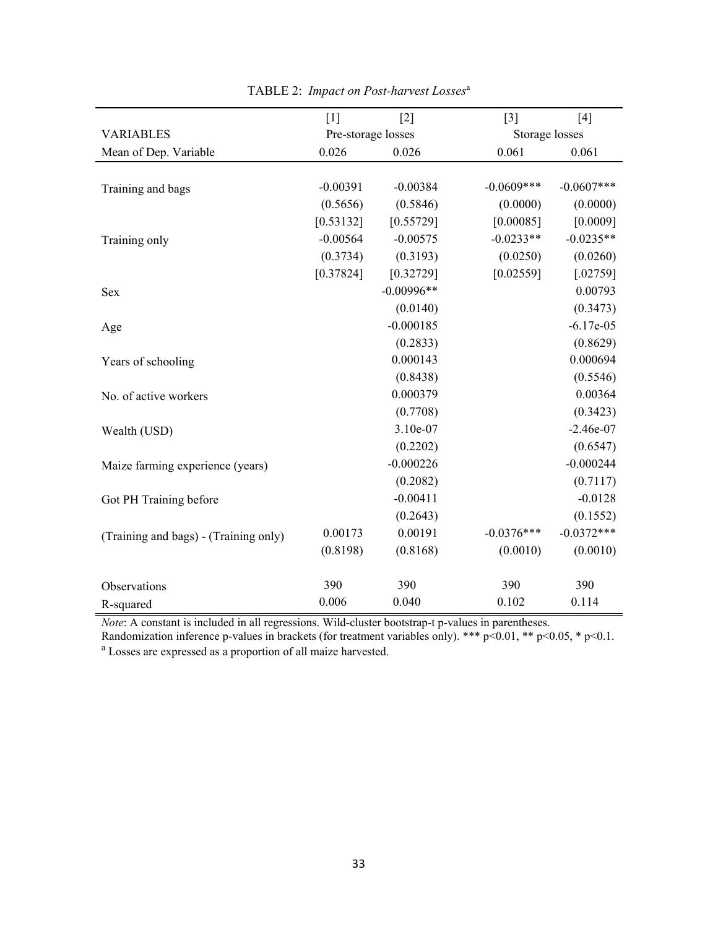|                                       | $[1]$              | $[2]$        | $[3]$          | $[4]$        |
|---------------------------------------|--------------------|--------------|----------------|--------------|
| <b>VARIABLES</b>                      | Pre-storage losses |              | Storage losses |              |
| Mean of Dep. Variable                 | 0.026              | 0.026        | 0.061          | 0.061        |
|                                       |                    |              |                |              |
| Training and bags                     | $-0.00391$         | $-0.00384$   | $-0.0609***$   | $-0.0607***$ |
|                                       | (0.5656)           | (0.5846)     | (0.0000)       | (0.0000)     |
|                                       | [0.53132]          | [0.55729]    | [0.00085]      | [0.0009]     |
| Training only                         | $-0.00564$         | $-0.00575$   | $-0.0233**$    | $-0.0235**$  |
|                                       | (0.3734)           | (0.3193)     | (0.0250)       | (0.0260)     |
|                                       | [0.37824]          | [0.32729]    | [0.02559]      | [.02759]     |
| <b>Sex</b>                            |                    | $-0.00996**$ |                | 0.00793      |
|                                       |                    | (0.0140)     |                | (0.3473)     |
| Age                                   |                    | $-0.000185$  |                | $-6.17e-05$  |
|                                       |                    | (0.2833)     |                | (0.8629)     |
| Years of schooling                    |                    | 0.000143     |                | 0.000694     |
|                                       |                    | (0.8438)     |                | (0.5546)     |
| No. of active workers                 |                    | 0.000379     |                | 0.00364      |
|                                       |                    | (0.7708)     |                | (0.3423)     |
| Wealth (USD)                          |                    | 3.10e-07     |                | $-2.46e-07$  |
|                                       |                    | (0.2202)     |                | (0.6547)     |
| Maize farming experience (years)      |                    | $-0.000226$  |                | $-0.000244$  |
|                                       |                    | (0.2082)     |                | (0.7117)     |
| Got PH Training before                |                    | $-0.00411$   |                | $-0.0128$    |
|                                       |                    | (0.2643)     |                | (0.1552)     |
| (Training and bags) - (Training only) | 0.00173            | 0.00191      | $-0.0376***$   | $-0.0372***$ |
|                                       | (0.8198)           | (0.8168)     | (0.0010)       | (0.0010)     |
| Observations                          | 390                | 390          | 390            | 390          |
| R-squared                             | 0.006              | 0.040        | 0.102          | 0.114        |

|  |  | TABLE 2: Impact on Post-harvest Losses <sup>a</sup> |  |
|--|--|-----------------------------------------------------|--|
|--|--|-----------------------------------------------------|--|

*Note*: A constant is included in all regressions. Wild-cluster bootstrap-t p-values in parentheses.

Randomization inference p-values in brackets (for treatment variables only). \*\*\*  $p<0.01$ , \*\*  $p<0.05$ , \*  $p<0.1$ . <sup>a</sup> Losses are expressed as a proportion of all maize harvested.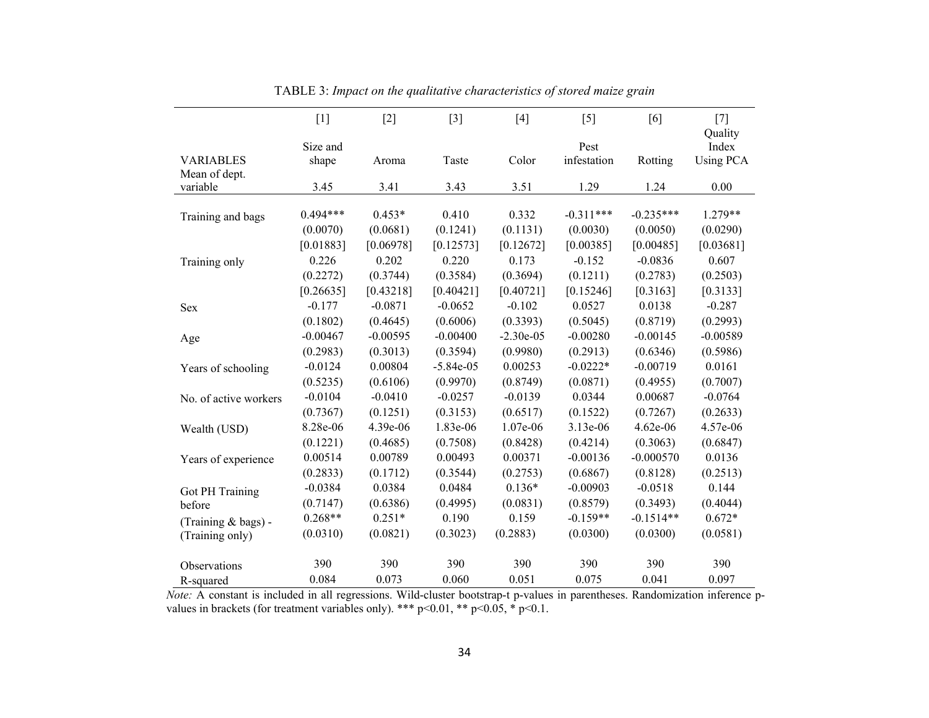|                       | $[1]$      | $[2]$      | $[3]$       | $[4]$        | $[5]$       | [6]         | $[7]$            |
|-----------------------|------------|------------|-------------|--------------|-------------|-------------|------------------|
|                       | Size and   |            |             |              | Pest        |             | Quality<br>Index |
| <b>VARIABLES</b>      | shape      | Aroma      | Taste       | Color        | infestation | Rotting     | <b>Using PCA</b> |
| Mean of dept.         |            |            |             |              |             |             |                  |
| variable              | 3.45       | 3.41       | 3.43        | 3.51         | 1.29        | 1.24        | 0.00             |
| Training and bags     | $0.494***$ | $0.453*$   | 0.410       | 0.332        | $-0.311***$ | $-0.235***$ | 1.279**          |
|                       | (0.0070)   | (0.0681)   | (0.1241)    | (0.1131)     | (0.0030)    | (0.0050)    | (0.0290)         |
|                       | [0.01883]  | [0.06978]  | [0.12573]   | [0.12672]    | [0.00385]   | [0.00485]   | [0.03681]        |
| Training only         | 0.226      | 0.202      | 0.220       | 0.173        | $-0.152$    | $-0.0836$   | 0.607            |
|                       | (0.2272)   | (0.3744)   | (0.3584)    | (0.3694)     | (0.1211)    | (0.2783)    | (0.2503)         |
|                       | [0.26635]  | [0.43218]  | [0.40421]   | [0.40721]    | [0.15246]   | [0.3163]    | [0.3133]         |
| <b>Sex</b>            | $-0.177$   | $-0.0871$  | $-0.0652$   | $-0.102$     | 0.0527      | 0.0138      | $-0.287$         |
|                       | (0.1802)   | (0.4645)   | (0.6006)    | (0.3393)     | (0.5045)    | (0.8719)    | (0.2993)         |
| Age                   | $-0.00467$ | $-0.00595$ | $-0.00400$  | $-2.30e-0.5$ | $-0.00280$  | $-0.00145$  | $-0.00589$       |
|                       | (0.2983)   | (0.3013)   | (0.3594)    | (0.9980)     | (0.2913)    | (0.6346)    | (0.5986)         |
| Years of schooling    | $-0.0124$  | 0.00804    | $-5.84e-05$ | 0.00253      | $-0.0222*$  | $-0.00719$  | 0.0161           |
|                       | (0.5235)   | (0.6106)   | (0.9970)    | (0.8749)     | (0.0871)    | (0.4955)    | (0.7007)         |
| No. of active workers | $-0.0104$  | $-0.0410$  | $-0.0257$   | $-0.0139$    | 0.0344      | 0.00687     | $-0.0764$        |
|                       | (0.7367)   | (0.1251)   | (0.3153)    | (0.6517)     | (0.1522)    | (0.7267)    | (0.2633)         |
| Wealth (USD)          | 8.28e-06   | 4.39e-06   | 1.83e-06    | 1.07e-06     | 3.13e-06    | $4.62e-06$  | 4.57e-06         |
|                       | (0.1221)   | (0.4685)   | (0.7508)    | (0.8428)     | (0.4214)    | (0.3063)    | (0.6847)         |
| Years of experience   | 0.00514    | 0.00789    | 0.00493     | 0.00371      | $-0.00136$  | $-0.000570$ | 0.0136           |
|                       | (0.2833)   | (0.1712)   | (0.3544)    | (0.2753)     | (0.6867)    | (0.8128)    | (0.2513)         |
| Got PH Training       | $-0.0384$  | 0.0384     | 0.0484      | $0.136*$     | $-0.00903$  | $-0.0518$   | 0.144            |
| before                | (0.7147)   | (0.6386)   | (0.4995)    | (0.0831)     | (0.8579)    | (0.3493)    | (0.4044)         |
| (Training & bags) -   | $0.268**$  | $0.251*$   | 0.190       | 0.159        | $-0.159**$  | $-0.1514**$ | $0.672*$         |
| (Training only)       | (0.0310)   | (0.0821)   | (0.3023)    | (0.2883)     | (0.0300)    | (0.0300)    | (0.0581)         |
| Observations          | 390        | 390        | 390         | 390          | 390         | 390         | 390              |
| R-squared             | 0.084      | 0.073      | 0.060       | 0.051        | 0.075       | 0.041       | 0.097            |

TABLE 3: *Impact on the qualitative characteristics of stored maize grain*

*Note:* A constant is included in all regressions. Wild-cluster bootstrap-t p-values in parentheses. Randomization inference pvalues in brackets (for treatment variables only). \*\*\* p<0.01, \*\* p<0.05, \* p<0.1.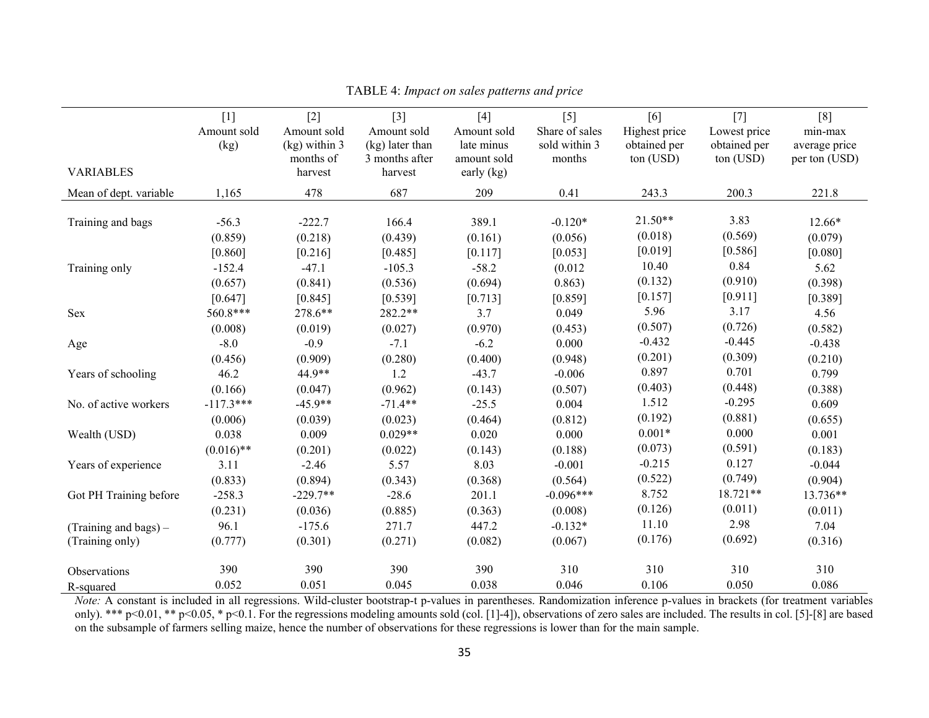|                         | $[1]$        | $[2]$           | $[3]$           | $[4]$       | $[5]$          | [6]           | $[7]$        | [8]           |
|-------------------------|--------------|-----------------|-----------------|-------------|----------------|---------------|--------------|---------------|
|                         | Amount sold  | Amount sold     | Amount sold     | Amount sold | Share of sales | Highest price | Lowest price | min-max       |
|                         | (kg)         | $(kg)$ within 3 | (kg) later than | late minus  | sold within 3  | obtained per  | obtained per | average price |
|                         |              | months of       | 3 months after  | amount sold | months         | ton (USD)     | ton (USD)    | per ton (USD) |
| <b>VARIABLES</b>        |              | harvest         | harvest         | early (kg)  |                |               |              |               |
| Mean of dept. variable  | 1,165        | 478             | 687             | 209         | 0.41           | 243.3         | 200.3        | 221.8         |
|                         |              |                 |                 |             |                |               |              |               |
| Training and bags       | $-56.3$      | $-222.7$        | 166.4           | 389.1       | $-0.120*$      | $21.50**$     | 3.83         | $12.66*$      |
|                         | (0.859)      | (0.218)         | (0.439)         | (0.161)     | (0.056)        | (0.018)       | (0.569)      | (0.079)       |
|                         | [0.860]      | [0.216]         | [0.485]         | [0.117]     | [0.053]        | [0.019]       | [0.586]      | [0.080]       |
| Training only           | $-152.4$     | $-47.1$         | $-105.3$        | $-58.2$     | (0.012)        | 10.40         | 0.84         | 5.62          |
|                         | (0.657)      | (0.841)         | (0.536)         | (0.694)     | 0.863)         | (0.132)       | (0.910)      | (0.398)       |
|                         | [0.647]      | [0.845]         | [0.539]         | [0.713]     | [0.859]        | [0.157]       | [0.911]      | [0.389]       |
| Sex                     | 560.8***     | 278.6**         | 282.2**         | 3.7         | 0.049          | 5.96          | 3.17         | 4.56          |
|                         | (0.008)      | (0.019)         | (0.027)         | (0.970)     | (0.453)        | (0.507)       | (0.726)      | (0.582)       |
| Age                     | $-8.0$       | $-0.9$          | $-7.1$          | $-6.2$      | 0.000          | $-0.432$      | $-0.445$     | $-0.438$      |
|                         | (0.456)      | (0.909)         | (0.280)         | (0.400)     | (0.948)        | (0.201)       | (0.309)      | (0.210)       |
| Years of schooling      | 46.2         | 44.9**          | 1.2             | $-43.7$     | $-0.006$       | 0.897         | 0.701        | 0.799         |
|                         | (0.166)      | (0.047)         | (0.962)         | (0.143)     | (0.507)        | (0.403)       | (0.448)      | (0.388)       |
| No. of active workers   | $-117.3***$  | $-45.9**$       | $-71.4**$       | $-25.5$     | 0.004          | 1.512         | $-0.295$     | 0.609         |
|                         | (0.006)      | (0.039)         | (0.023)         | (0.464)     | (0.812)        | (0.192)       | (0.881)      | (0.655)       |
| Wealth (USD)            | 0.038        | 0.009           | $0.029**$       | 0.020       | 0.000          | $0.001*$      | 0.000        | 0.001         |
|                         | $(0.016)$ ** | (0.201)         | (0.022)         | (0.143)     | (0.188)        | (0.073)       | (0.591)      | (0.183)       |
| Years of experience     | 3.11         | $-2.46$         | 5.57            | 8.03        | $-0.001$       | $-0.215$      | 0.127        | $-0.044$      |
|                         | (0.833)      | (0.894)         | (0.343)         | (0.368)     | (0.564)        | (0.522)       | (0.749)      | (0.904)       |
| Got PH Training before  | $-258.3$     | $-229.7**$      | $-28.6$         | 201.1       | $-0.096***$    | 8.752         | 18.721**     | 13.736**      |
|                         | (0.231)      | (0.036)         | (0.885)         | (0.363)     | (0.008)        | (0.126)       | (0.011)      | (0.011)       |
| (Training and bags) $-$ | 96.1         | $-175.6$        | 271.7           | 447.2       | $-0.132*$      | 11.10         | 2.98         | 7.04          |
| (Training only)         | (0.777)      | (0.301)         | (0.271)         | (0.082)     | (0.067)        | (0.176)       | (0.692)      | (0.316)       |
| Observations            | 390          | 390             | 390             | 390         | 310            | 310           | 310          | 310           |
| R-squared               | 0.052        | 0.051           | 0.045           | 0.038       | 0.046          | 0.106         | 0.050        | 0.086         |

TABLE 4: *Impact on sales patterns and price*

*Note:* A constant is included in all regressions. Wild-cluster bootstrap-t p-values in parentheses. Randomization inference p-values in brackets (for treatment variables only). \*\*\* p<0.01, \*\* p<0.05, \* p<0.1. For the regressions modeling amounts sold (col. [1]-4]), observations of zero sales are included. The results in col. [5]-[8] are based on the subsample of farmers selling maize, hence the number of observations for these regressions is lower than for the main sample.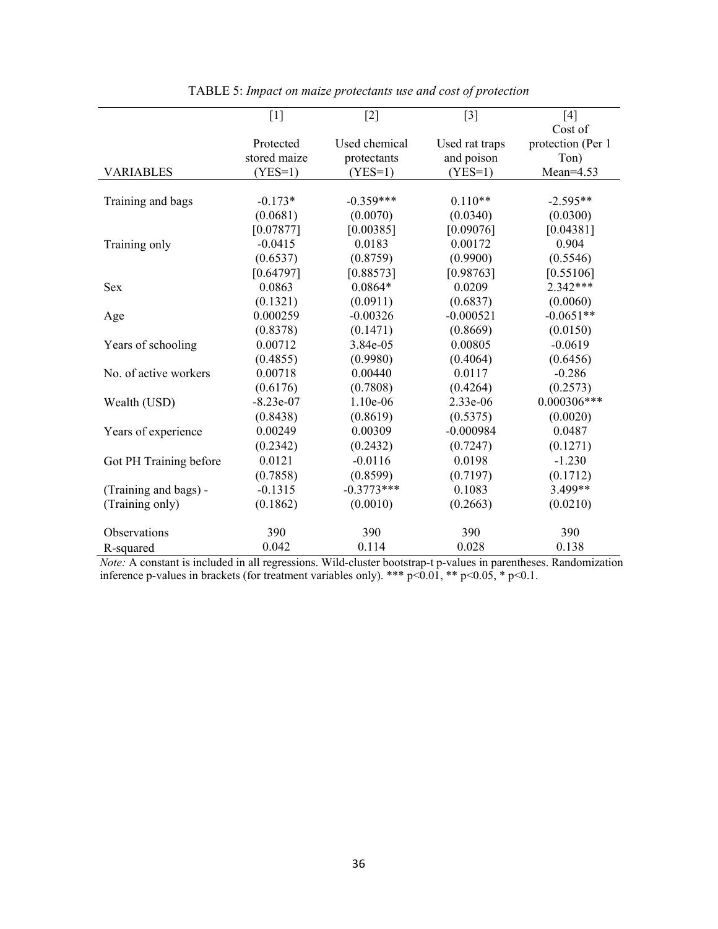|                        | $[1]$        | $[2]$         | $[3]$          | $[4]$             |
|------------------------|--------------|---------------|----------------|-------------------|
|                        |              |               |                | Cost of           |
|                        | Protected    | Used chemical | Used rat traps | protection (Per 1 |
|                        | stored maize | protectants   | and poison     | Ton)              |
| <b>VARIABLES</b>       | $(YES=1)$    | $(YES=1)$     | $(YES=1)$      | $Mean=4.53$       |
| Training and bags      | $-0.173*$    | $-0.359***$   | $0.110**$      | $-2.595**$        |
|                        | (0.0681)     | (0.0070)      | (0.0340)       | (0.0300)          |
|                        | [0.07877]    | [0.00385]     | [0.09076]      | [0.04381]         |
| Training only          | $-0.0415$    | 0.0183        | 0.00172        | 0.904             |
|                        | (0.6537)     | (0.8759)      | (0.9900)       | (0.5546)          |
|                        | [0.64797]    | [0.88573]     | [0.98763]      | [0.55106]         |
| <b>Sex</b>             | 0.0863       | $0.0864*$     | 0.0209         | $2.342***$        |
|                        | (0.1321)     | (0.0911)      | (0.6837)       | (0.0060)          |
| Age                    | 0.000259     | $-0.00326$    | $-0.000521$    | $-0.0651**$       |
|                        | (0.8378)     | (0.1471)      | (0.8669)       | (0.0150)          |
| Years of schooling     | 0.00712      | 3.84e-05      | 0.00805        | $-0.0619$         |
|                        | (0.4855)     | (0.9980)      | (0.4064)       | (0.6456)          |
| No. of active workers  | 0.00718      | 0.00440       | 0.0117         | $-0.286$          |
|                        | (0.6176)     | (0.7808)      | (0.4264)       | (0.2573)          |
| Wealth (USD)           | $-8.23e-07$  | 1.10e-06      | 2.33e-06       | $0.000306***$     |
|                        | (0.8438)     | (0.8619)      | (0.5375)       | (0.0020)          |
| Years of experience    | 0.00249      | 0.00309       | $-0.000984$    | 0.0487            |
|                        | (0.2342)     | (0.2432)      | (0.7247)       | (0.1271)          |
| Got PH Training before | 0.0121       | $-0.0116$     | 0.0198         | $-1.230$          |
|                        | (0.7858)     | (0.8599)      | (0.7197)       | (0.1712)          |
| (Training and bags) -  | $-0.1315$    | $-0.3773***$  | 0.1083         | $3.499**$         |
| (Training only)        | (0.1862)     | (0.0010)      | (0.2663)       | (0.0210)          |
| Observations           | 390          | 390           | 390            | 390               |
| R-squared              | 0.042        | 0.114         | 0.028          | 0.138             |

TABLE 5: *Impact on maize protectants use and cost of protection*

*Note:* A constant is included in all regressions. Wild-cluster bootstrap-t p-values in parentheses. Randomization inference p-values in brackets (for treatment variables only). \*\*\* p<0.01, \*\* p<0.05, \* p<0.1.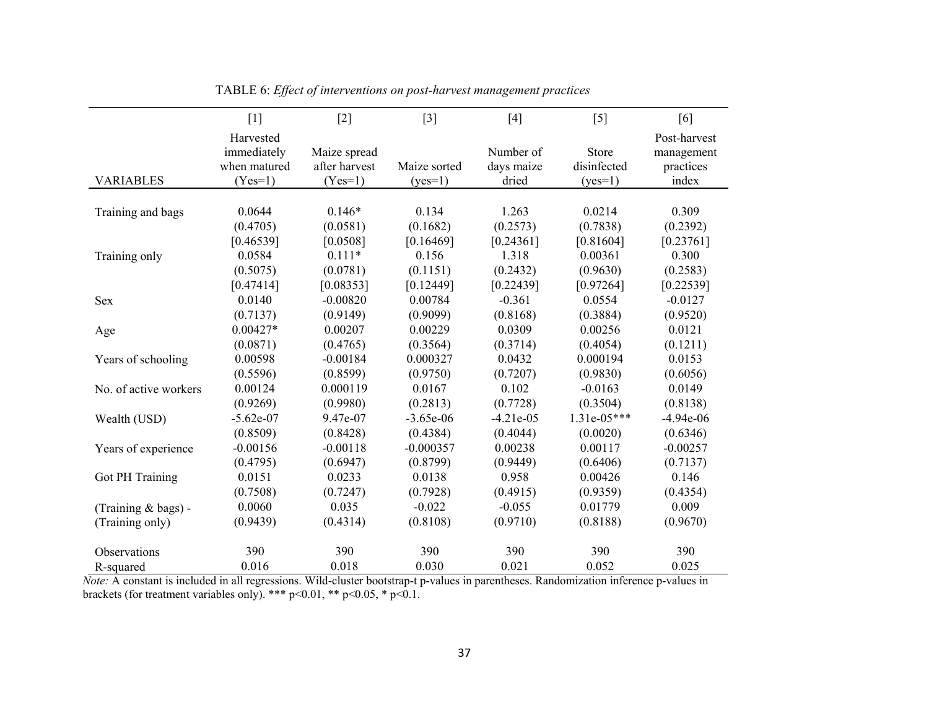|                       | $[1]$                                                 | $[2]$                                      | $[3]$                     | $[4]$                            | $[5]$                             | [6]                                              |
|-----------------------|-------------------------------------------------------|--------------------------------------------|---------------------------|----------------------------------|-----------------------------------|--------------------------------------------------|
| <b>VARIABLES</b>      | Harvested<br>immediately<br>when matured<br>$(Yes=1)$ | Maize spread<br>after harvest<br>$(Yes=1)$ | Maize sorted<br>$(yes=1)$ | Number of<br>days maize<br>dried | Store<br>disinfected<br>$(yes=1)$ | Post-harvest<br>management<br>practices<br>index |
|                       |                                                       |                                            |                           |                                  |                                   |                                                  |
| Training and bags     | 0.0644                                                | $0.146*$                                   | 0.134                     | 1.263                            | 0.0214                            | 0.309                                            |
|                       | (0.4705)                                              | (0.0581)                                   | (0.1682)                  | (0.2573)                         | (0.7838)                          | (0.2392)                                         |
|                       | [0.46539]                                             | [0.0508]                                   | [0.16469]                 | [0.24361]                        | [0.81604]                         | [0.23761]                                        |
| Training only         | 0.0584                                                | $0.111*$                                   | 0.156                     | 1.318                            | 0.00361                           | 0.300                                            |
|                       | (0.5075)                                              | (0.0781)                                   | (0.1151)                  | (0.2432)                         | (0.9630)                          | (0.2583)                                         |
|                       | [0.47414]                                             | [0.08353]                                  | [0.12449]                 | [0.22439]                        | [0.97264]                         | [0.22539]                                        |
| <b>Sex</b>            | 0.0140                                                | $-0.00820$                                 | 0.00784                   | $-0.361$                         | 0.0554                            | $-0.0127$                                        |
|                       | (0.7137)                                              | (0.9149)                                   | (0.9099)                  | (0.8168)                         | (0.3884)                          | (0.9520)                                         |
| Age                   | $0.00427*$                                            | 0.00207                                    | 0.00229                   | 0.0309                           | 0.00256                           | 0.0121                                           |
|                       | (0.0871)                                              | (0.4765)                                   | (0.3564)                  | (0.3714)                         | (0.4054)                          | (0.1211)                                         |
| Years of schooling    | 0.00598                                               | $-0.00184$                                 | 0.000327                  | 0.0432                           | 0.000194                          | 0.0153                                           |
|                       | (0.5596)                                              | (0.8599)                                   | (0.9750)                  | (0.7207)                         | (0.9830)                          | (0.6056)                                         |
| No. of active workers | 0.00124                                               | 0.000119                                   | 0.0167                    | 0.102                            | $-0.0163$                         | 0.0149                                           |
|                       | (0.9269)                                              | (0.9980)                                   | (0.2813)                  | (0.7728)                         | (0.3504)                          | (0.8138)                                         |
| Wealth (USD)          | $-5.62e-07$                                           | 9.47e-07                                   | $-3.65e-06$               | $-4.21e-05$                      | $1.31e-05***$                     | $-4.94e-06$                                      |
|                       | (0.8509)                                              | (0.8428)                                   | (0.4384)                  | (0.4044)                         | (0.0020)                          | (0.6346)                                         |
| Years of experience   | $-0.00156$                                            | $-0.00118$                                 | $-0.000357$               | 0.00238                          | 0.00117                           | $-0.00257$                                       |
|                       | (0.4795)                                              | (0.6947)                                   | (0.8799)                  | (0.9449)                         | (0.6406)                          | (0.7137)                                         |
| Got PH Training       | 0.0151                                                | 0.0233                                     | 0.0138                    | 0.958                            | 0.00426                           | 0.146                                            |
|                       | (0.7508)                                              | (0.7247)                                   | (0.7928)                  | (0.4915)                         | (0.9359)                          | (0.4354)                                         |
| (Training & bags) -   | 0.0060                                                | 0.035                                      | $-0.022$                  | $-0.055$                         | 0.01779                           | 0.009                                            |
| (Training only)       | (0.9439)                                              | (0.4314)                                   | (0.8108)                  | (0.9710)                         | (0.8188)                          | (0.9670)                                         |
| Observations          | 390                                                   | 390                                        | 390                       | 390                              | 390                               | 390                                              |
| R-squared             | 0.016                                                 | 0.018                                      | 0.030                     | 0.021                            | 0.052                             | 0.025                                            |

TABLE 6: *Effect of interventions on post-harvest management practices*

*Note:* A constant is included in all regressions. Wild-cluster bootstrap-t p-values in parentheses. Randomization inference p-values in brackets (for treatment variables only). \*\*\*  $p<0.01$ , \*\*  $p<0.05$ , \*  $p<0.1$ .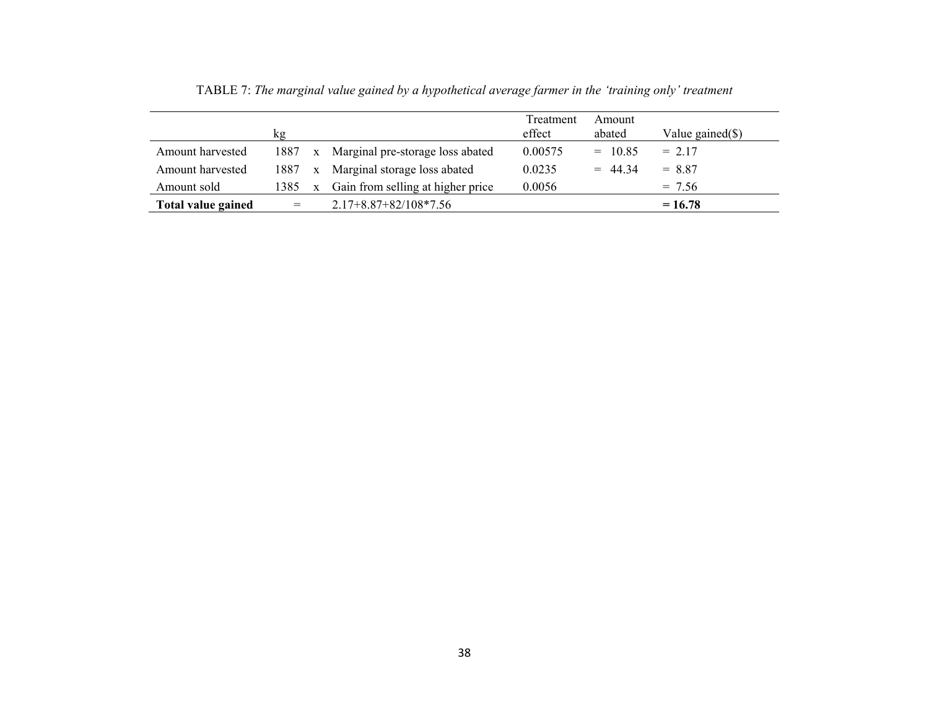|                           | kg   |              |                                   | Treatment<br>effect | Amount<br>abated | Value gained $(\$)$ |
|---------------------------|------|--------------|-----------------------------------|---------------------|------------------|---------------------|
| Amount harvested          | 1887 | $\mathbf{X}$ | Marginal pre-storage loss abated  | 0.00575             | $= 10.85$        | $= 2.17$            |
| Amount harvested          | 1887 | $\mathbf{x}$ | Marginal storage loss abated      | 0.0235              | $= 44.34$        | $= 8.87$            |
| Amount sold               | 1385 | $\mathbf{X}$ | Gain from selling at higher price | 0.0056              |                  | $= 7.56$            |
| <b>Total value gained</b> | $=$  |              | $2.17 + 8.87 + 82/108 * 7.56$     |                     |                  | $= 16.78$           |

TABLE 7: *The marginal value gained by a hypothetical average farmer in the 'training only' treatment*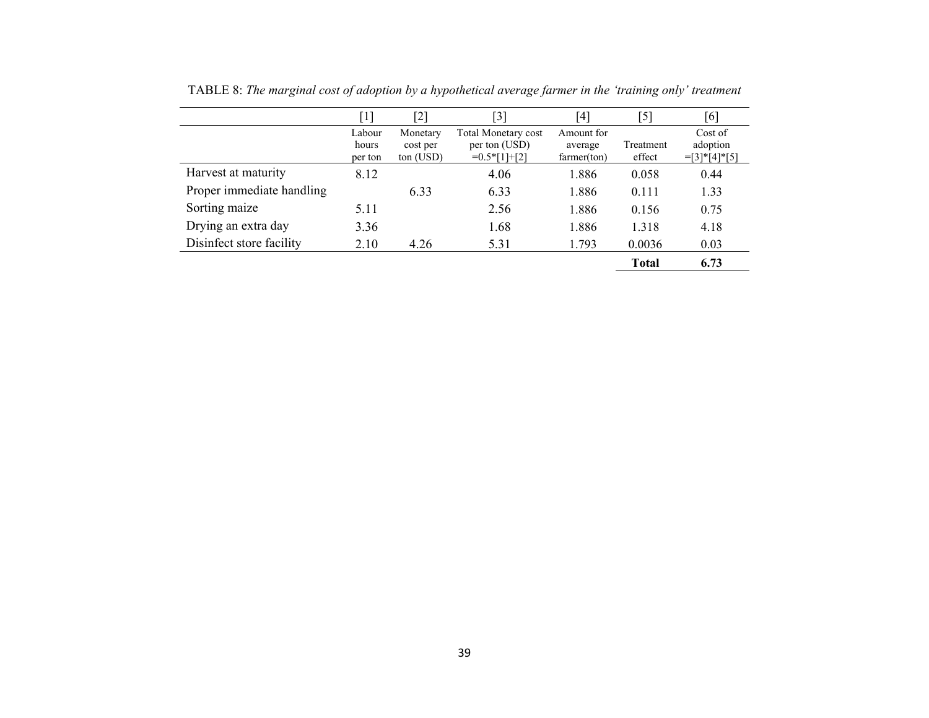|                           | [1]                        | [2]                               | $^{[3]}$                                               | $^{[4]}$                             | [5]                 | [6]                                                                 |
|---------------------------|----------------------------|-----------------------------------|--------------------------------------------------------|--------------------------------------|---------------------|---------------------------------------------------------------------|
|                           | Labour<br>hours<br>per ton | Monetary<br>cost per<br>ton (USD) | Total Monetary cost<br>per ton (USD)<br>$=0.5*[1]+[2]$ | Amount for<br>average<br>farmer(ton) | Treatment<br>effect | Cost of<br>adoption<br>$=[3]$ <sup>*</sup> $[4]$ <sup>*</sup> $[5]$ |
| Harvest at maturity       | 8.12                       |                                   | 4.06                                                   | 1.886                                | 0.058               | 0.44                                                                |
| Proper immediate handling |                            | 6.33                              | 6.33                                                   | 1.886                                | 0.111               | 1.33                                                                |
| Sorting maize             | 5.11                       |                                   | 2.56                                                   | 1.886                                | 0.156               | 0.75                                                                |
| Drying an extra day       | 3.36                       |                                   | 1.68                                                   | 1.886                                | 1.318               | 4.18                                                                |
| Disinfect store facility  | 2.10                       | 4.26                              | 5.31                                                   | 1.793                                | 0.0036              | 0.03                                                                |
|                           |                            |                                   |                                                        |                                      | <b>Total</b>        | 6.73                                                                |

TABLE 8: *The marginal cost of adoption by a hypothetical average farmer in the 'training only' treatment*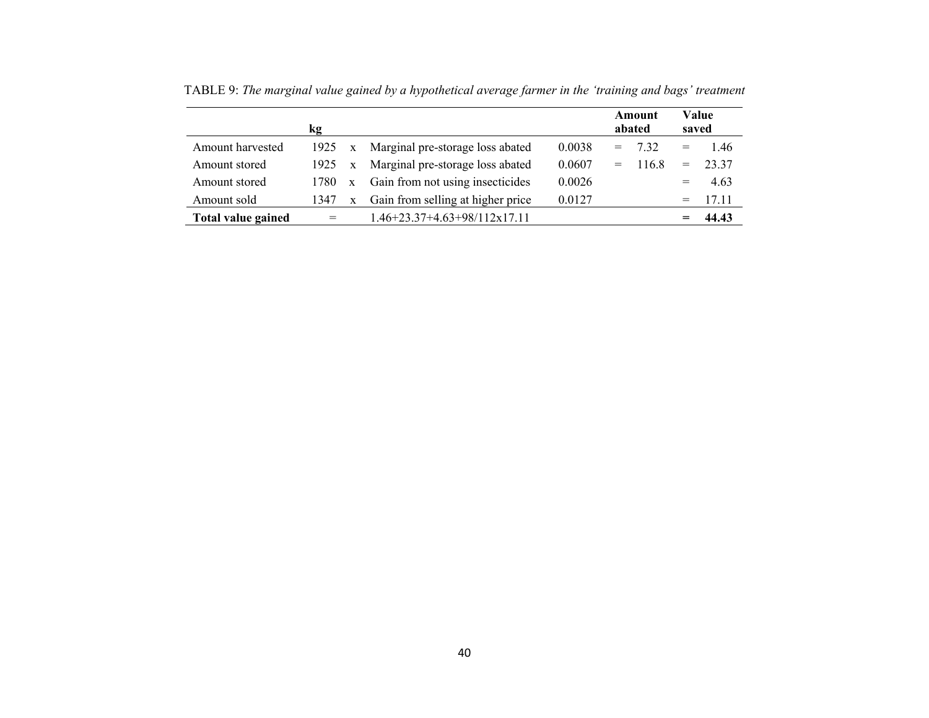|                           |      |              |                                             |        |     | Amount |                   | <b>Value</b> |
|---------------------------|------|--------------|---------------------------------------------|--------|-----|--------|-------------------|--------------|
|                           | kg   |              |                                             |        |     | abated |                   | saved        |
| Amount harvested          | 1925 |              | x Marginal pre-storage loss abated          | 0.0038 | $=$ | 7.32   | $\!\!\!=\!\!\!\!$ | 1.46         |
| Amount stored             | 1925 | $\mathbf{X}$ | Marginal pre-storage loss abated            | 0.0607 | $=$ | 116.8  | $=$               | 23.37        |
| Amount stored             | 1780 |              | x Gain from not using insecticides          | 0.0026 |     |        |                   | 4.63         |
| Amount sold               | 1347 | $\mathbf{x}$ | Gain from selling at higher price           | 0.0127 |     |        |                   | 17.11        |
| <b>Total value gained</b> | $=$  |              | $1.46 + 23.37 + 4.63 + 98/112 \times 17.11$ |        |     |        |                   | 44.43        |

TABLE 9: *The marginal value gained by a hypothetical average farmer in the 'training and bags' treatment*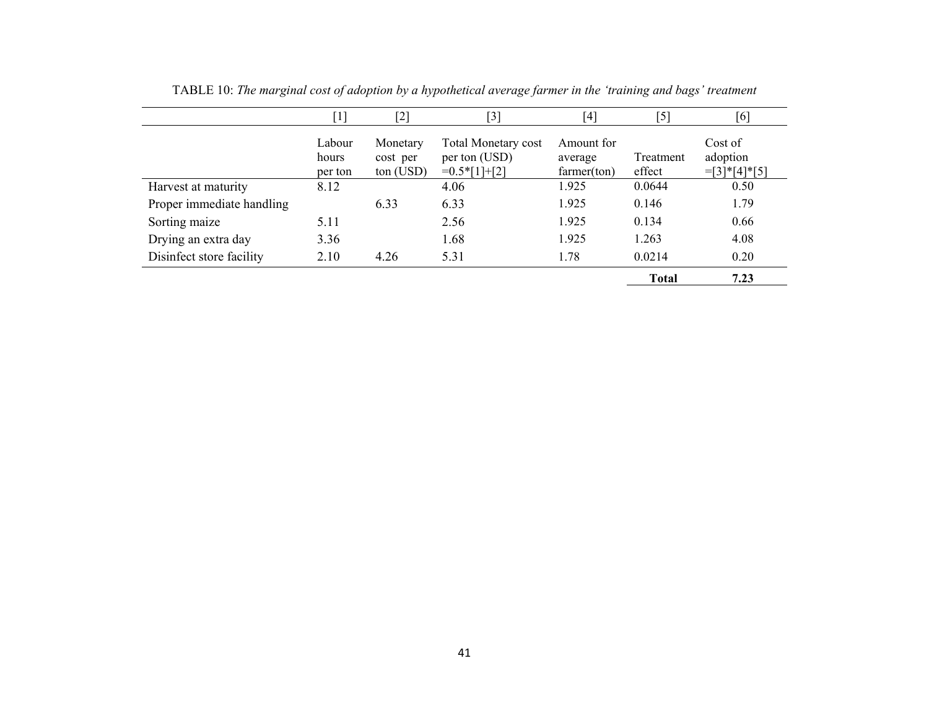|                           | $[1]$                      | [2]                               | $[3]$                                                         | $\left[4\right]$                     | [5]                 | [6]                                    |
|---------------------------|----------------------------|-----------------------------------|---------------------------------------------------------------|--------------------------------------|---------------------|----------------------------------------|
|                           | Labour<br>hours<br>per ton | Monetary<br>cost per<br>ton (USD) | <b>Total Monetary cost</b><br>per ton (USD)<br>$=0.5*[1]+[2]$ | Amount for<br>average<br>farmer(ton) | Treatment<br>effect | Cost of<br>adoption<br>$=$ [3]*[4]*[5] |
| Harvest at maturity       | 8.12                       |                                   | 4.06                                                          | 1.925                                | 0.0644              | 0.50                                   |
| Proper immediate handling |                            | 6.33                              | 6.33                                                          | 1.925                                | 0.146               | 1.79                                   |
| Sorting maize             | 5.11                       |                                   | 2.56                                                          | 1.925                                | 0.134               | 0.66                                   |
| Drying an extra day       | 3.36                       |                                   | 1.68                                                          | 1.925                                | 1.263               | 4.08                                   |
| Disinfect store facility  | 2.10                       | 4.26                              | 5.31                                                          | 1.78                                 | 0.0214              | 0.20                                   |
|                           |                            |                                   |                                                               |                                      | <b>Total</b>        | 7.23                                   |

TABLE 10: *The marginal cost of adoption by a hypothetical average farmer in the 'training and bags' treatment*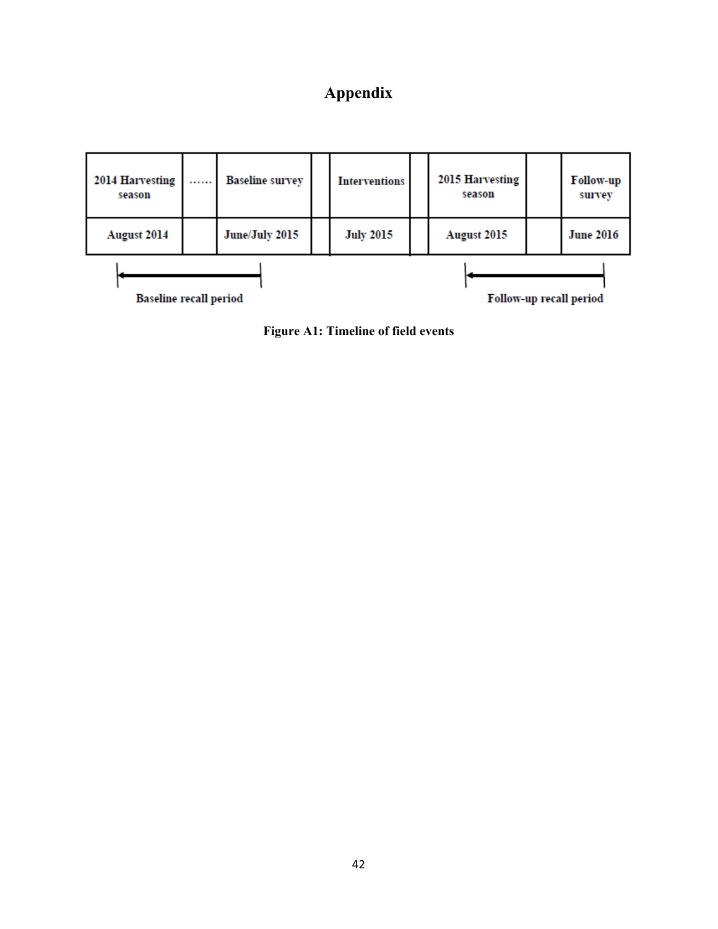# **Appendix**



**Figure A1: Timeline of field events**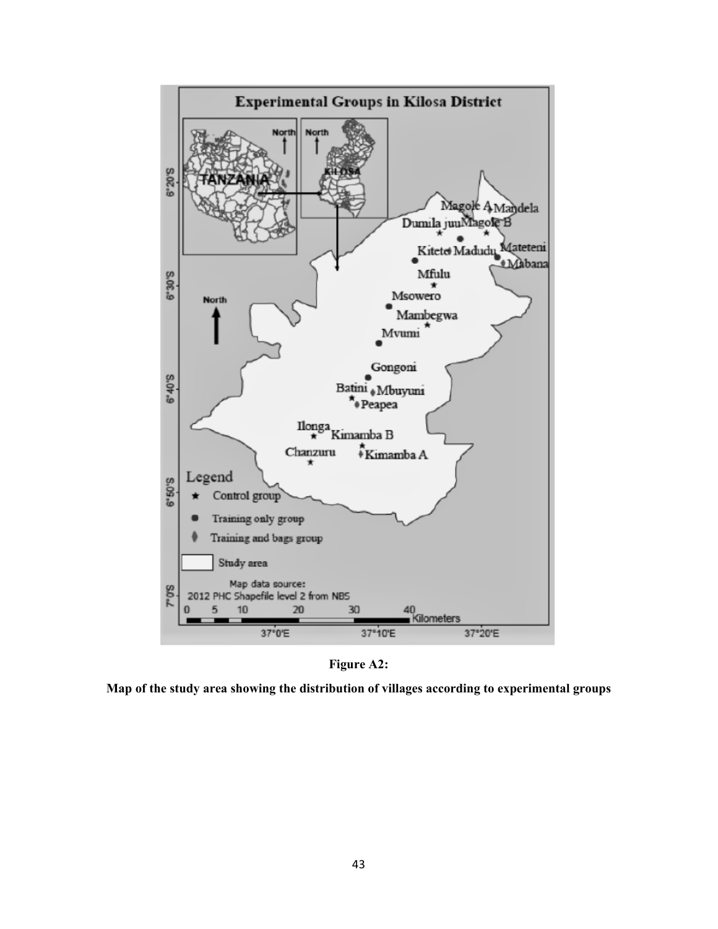

**Figure A2:** 

**Map of the study area showing the distribution of villages according to experimental groups**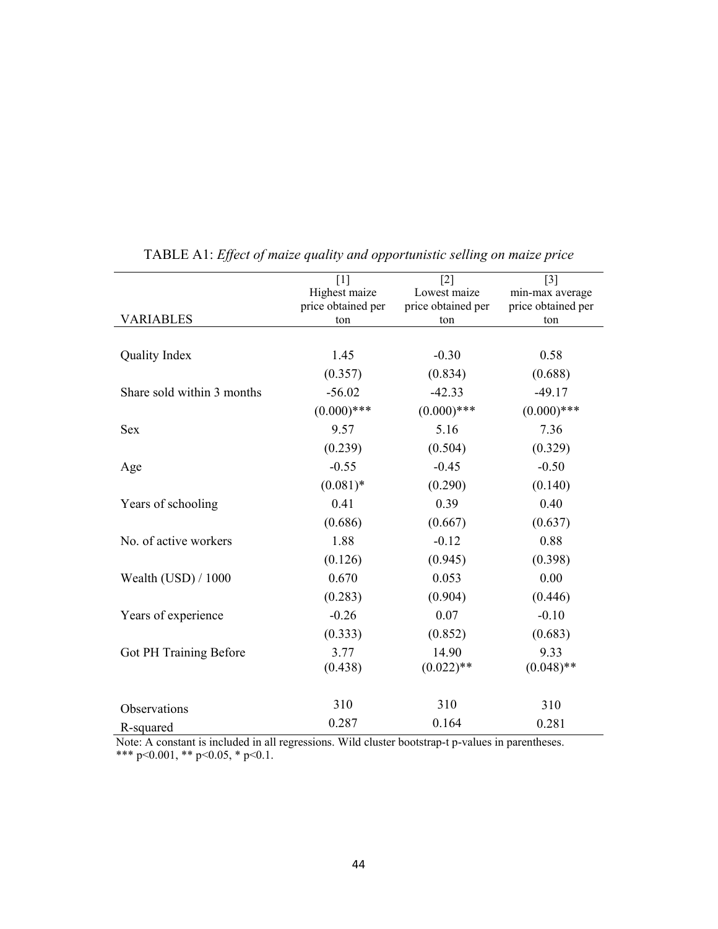|                               | $[1]$<br>Highest maize<br>price obtained per | $[2]$<br>Lowest maize<br>price obtained per | $[3]$<br>min-max average<br>price obtained per |
|-------------------------------|----------------------------------------------|---------------------------------------------|------------------------------------------------|
| <b>VARIABLES</b>              | ton                                          | ton                                         | ton                                            |
|                               |                                              |                                             |                                                |
| Quality Index                 | 1.45                                         | $-0.30$                                     | 0.58                                           |
|                               | (0.357)                                      | (0.834)                                     | (0.688)                                        |
| Share sold within 3 months    | $-56.02$                                     | $-42.33$                                    | $-49.17$                                       |
|                               | $(0.000)$ ***                                | $(0.000)$ ***                               | $(0.000)$ ***                                  |
| <b>Sex</b>                    | 9.57                                         | 5.16                                        | 7.36                                           |
|                               | (0.239)                                      | (0.504)                                     | (0.329)                                        |
| Age                           | $-0.55$                                      | $-0.45$                                     | $-0.50$                                        |
|                               | $(0.081)$ *                                  | (0.290)                                     | (0.140)                                        |
| Years of schooling            | 0.41                                         | 0.39                                        | 0.40                                           |
|                               | (0.686)                                      | (0.667)                                     | (0.637)                                        |
| No. of active workers         | 1.88                                         | $-0.12$                                     | 0.88                                           |
|                               | (0.126)                                      | (0.945)                                     | (0.398)                                        |
| Wealth $(USD) / 1000$         | 0.670                                        | 0.053                                       | 0.00                                           |
|                               | (0.283)                                      | (0.904)                                     | (0.446)                                        |
| Years of experience           | $-0.26$                                      | 0.07                                        | $-0.10$                                        |
|                               | (0.333)                                      | (0.852)                                     | (0.683)                                        |
| <b>Got PH Training Before</b> | 3.77<br>(0.438)                              | 14.90<br>$(0.022)$ **                       | 9.33<br>$(0.048)$ **                           |
| Observations                  | 310                                          | 310                                         | 310                                            |
| R-squared                     | 0.287                                        | 0.164                                       | 0.281                                          |

|  |  |  |  |  | TABLE A1: Effect of maize quality and opportunistic selling on maize price |  |  |
|--|--|--|--|--|----------------------------------------------------------------------------|--|--|
|--|--|--|--|--|----------------------------------------------------------------------------|--|--|

Note: A constant is included in all regressions. Wild cluster bootstrap-t p-values in parentheses. \*\*\* p<0.001, \*\* p<0.05, \* p<0.1.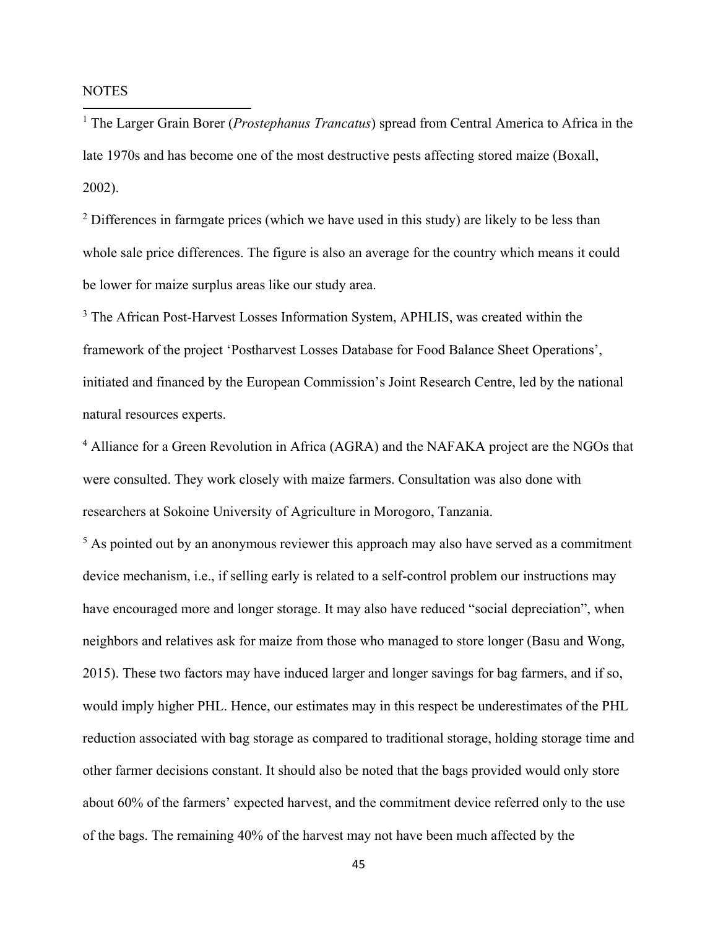### **NOTES**

 $\overline{a}$ 

<sup>1</sup> The Larger Grain Borer (*Prostephanus Trancatus*) spread from Central America to Africa in the late 1970s and has become one of the most destructive pests affecting stored maize (Boxall, 2002).

 $2$  Differences in farmgate prices (which we have used in this study) are likely to be less than whole sale price differences. The figure is also an average for the country which means it could be lower for maize surplus areas like our study area.

<sup>3</sup> The African Post-Harvest Losses Information System, APHLIS, was created within the framework of the project 'Postharvest Losses Database for Food Balance Sheet Operations', initiated and financed by the European Commission's Joint Research Centre, led by the national natural resources experts.

<sup>4</sup> Alliance for a Green Revolution in Africa (AGRA) and the NAFAKA project are the NGOs that were consulted. They work closely with maize farmers. Consultation was also done with researchers at Sokoine University of Agriculture in Morogoro, Tanzania.

 $<sup>5</sup>$  As pointed out by an anonymous reviewer this approach may also have served as a commitment</sup> device mechanism, i.e., if selling early is related to a self-control problem our instructions may have encouraged more and longer storage. It may also have reduced "social depreciation", when neighbors and relatives ask for maize from those who managed to store longer (Basu and Wong, 2015). These two factors may have induced larger and longer savings for bag farmers, and if so, would imply higher PHL. Hence, our estimates may in this respect be underestimates of the PHL reduction associated with bag storage as compared to traditional storage, holding storage time and other farmer decisions constant. It should also be noted that the bags provided would only store about 60% of the farmers' expected harvest, and the commitment device referred only to the use of the bags. The remaining 40% of the harvest may not have been much affected by the

45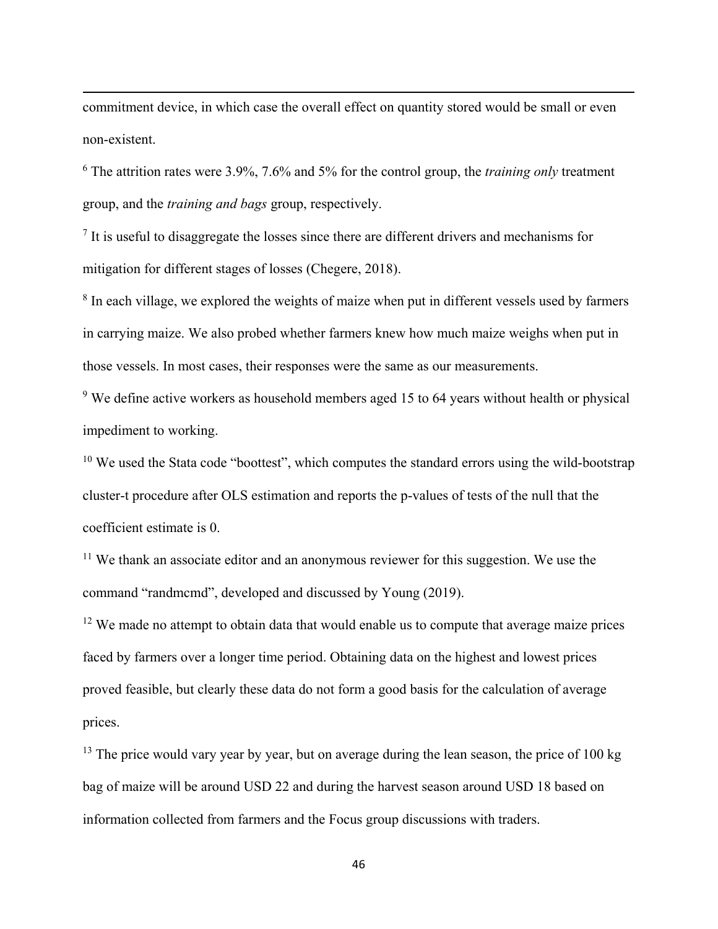<span id="page-45-0"></span>commitment device, in which case the overall effect on quantity stored would be small or even non-existent.

 $\overline{a}$ 

<sup>6</sup> The attrition rates were 3.9%, 7.6% and 5% for the control group, the *training only* treatment group, and the *training and bags* group, respectively.

<span id="page-45-1"></span> $<sup>7</sup>$  It is useful to disaggregate the losses since there are different drivers and mechanisms for</sup> mitigation for different stages of losses (Chegere, 2018).

<span id="page-45-2"></span><sup>8</sup> In each village, we explored the weights of maize when put in different vessels used by farmers in carrying maize. We also probed whether farmers knew how much maize weighs when put in those vessels. In most cases, their responses were the same as our measurements.

 $9$  We define active workers as household members aged 15 to 64 years without health or physical impediment to working.

<span id="page-45-3"></span><sup>10</sup> We used the Stata code "boottest", which computes the standard errors using the wild-bootstrap cluster-t procedure after OLS estimation and reports the p-values of tests of the null that the coefficient estimate is 0.

<span id="page-45-4"></span> $11$  We thank an associate editor and an anonymous reviewer for this suggestion. We use the command "randmcmd", developed and discussed by Young (2019).

 $12$  We made no attempt to obtain data that would enable us to compute that average maize prices faced by farmers over a longer time period. Obtaining data on the highest and lowest prices proved feasible, but clearly these data do not form a good basis for the calculation of average prices.

 $13$  The price would vary year by year, but on average during the lean season, the price of 100 kg bag of maize will be around USD 22 and during the harvest season around USD 18 based on information collected from farmers and the Focus group discussions with traders.

46